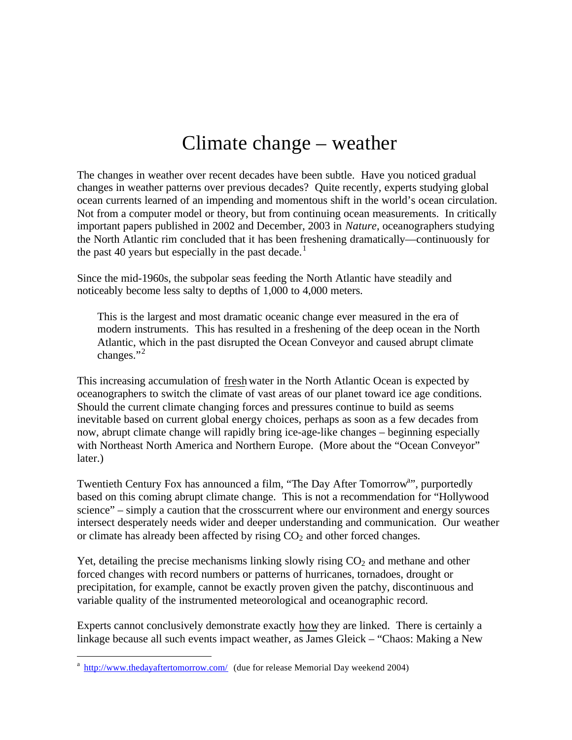# Climate change – weather

The changes in weather over recent decades have been subtle. Have you noticed gradual changes in weather patterns over previous decades? Quite recently, experts studying global ocean currents learned of an impending and momentous shift in the world's ocean circulation. Not from a computer model or theory, but from continuing ocean measurements. In critically important papers published in 2002 and December, 2003 in *Nature*, oceanographers studying the North Atlantic rim concluded that it has been freshening dramatically—continuously for the past 40 years but especially in the past decade.<sup>1</sup>

Since the mid-1960s, the subpolar seas feeding the North Atlantic have steadily and noticeably become less salty to depths of 1,000 to 4,000 meters.

This is the largest and most dramatic oceanic change ever measured in the era of modern instruments. This has resulted in a freshening of the deep ocean in the North Atlantic, which in the past disrupted the Ocean Conveyor and caused abrupt climate changes." $^2$ 

This increasing accumulation of fresh water in the North Atlantic Ocean is expected by oceanographers to switch the climate of vast areas of our planet toward ice age conditions. Should the current climate changing forces and pressures continue to build as seems inevitable based on current global energy choices, perhaps as soon as a few decades from now, abrupt climate change will rapidly bring ice-age-like changes – beginning especially with Northeast North America and Northern Europe. (More about the "Ocean Conveyor" later.)

Twentieth Century Fox has announced a film, "The Day After Tomorrow<sup>a</sup>", purportedly based on this coming abrupt climate change. This is not a recommendation for "Hollywood science" – simply a caution that the crosscurrent where our environment and energy sources intersect desperately needs wider and deeper understanding and communication. Our weather or climate has already been affected by rising  $CO<sub>2</sub>$  and other forced changes.

Yet, detailing the precise mechanisms linking slowly rising  $CO<sub>2</sub>$  and methane and other forced changes with record numbers or patterns of hurricanes, tornadoes, drought or precipitation, for example, cannot be exactly proven given the patchy, discontinuous and variable quality of the instrumented meteorological and oceanographic record.

Experts cannot conclusively demonstrate exactly how they are linked. There is certainly a linkage because all such events impact weather, as James Gleick – "Chaos: Making a New

 $\overline{a}$ 

<sup>&</sup>lt;sup>a</sup> http://www.thedayaftertomorrow.com/ (due for release Memorial Day weekend 2004)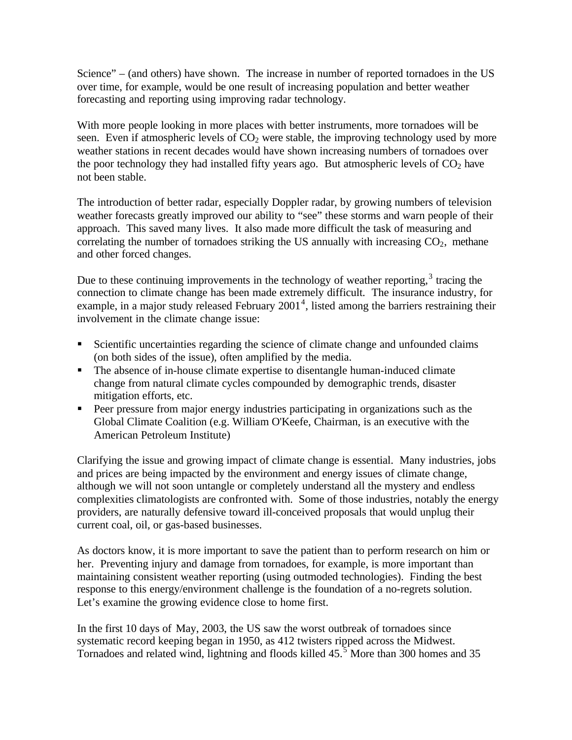Science" – (and others) have shown. The increase in number of reported tornadoes in the US over time, for example, would be one result of increasing population and better weather forecasting and reporting using improving radar technology.

With more people looking in more places with better instruments, more tornadoes will be seen. Even if atmospheric levels of  $CO<sub>2</sub>$  were stable, the improving technology used by more weather stations in recent decades would have shown increasing numbers of tornadoes over the poor technology they had installed fifty years ago. But atmospheric levels of  $CO<sub>2</sub>$  have not been stable.

The introduction of better radar, especially Doppler radar, by growing numbers of television weather forecasts greatly improved our ability to "see" these storms and warn people of their approach. This saved many lives. It also made more difficult the task of measuring and correlating the number of tornadoes striking the US annually with increasing  $CO<sub>2</sub>$ , methane and other forced changes.

Due to these continuing improvements in the technology of weather reporting, $3$  tracing the connection to climate change has been made extremely difficult. The insurance industry, for example, in a major study released February  $2001<sup>4</sup>$ , listed among the barriers restraining their involvement in the climate change issue:

- Scientific uncertainties regarding the science of climate change and unfounded claims (on both sides of the issue), often amplified by the media.
- The absence of in-house climate expertise to disentangle human-induced climate change from natural climate cycles compounded by demographic trends, disaster mitigation efforts, etc.
- **Peer pressure from major energy industries participating in organizations such as the** Global Climate Coalition (e.g. William O'Keefe, Chairman, is an executive with the American Petroleum Institute)

Clarifying the issue and growing impact of climate change is essential. Many industries, jobs and prices are being impacted by the environment and energy issues of climate change, although we will not soon untangle or completely understand all the mystery and endless complexities climatologists are confronted with. Some of those industries, notably the energy providers, are naturally defensive toward ill-conceived proposals that would unplug their current coal, oil, or gas-based businesses.

As doctors know, it is more important to save the patient than to perform research on him or her. Preventing injury and damage from tornadoes, for example, is more important than maintaining consistent weather reporting (using outmoded technologies). Finding the best response to this energy/environment challenge is the foundation of a no-regrets solution. Let's examine the growing evidence close to home first.

In the first 10 days of May, 2003, the US saw the worst outbreak of tornadoes since systematic record keeping began in 1950, as 412 twisters ripped across the Midwest. Tornadoes and related wind, lightning and floods killed  $45.5$  More than 300 homes and 35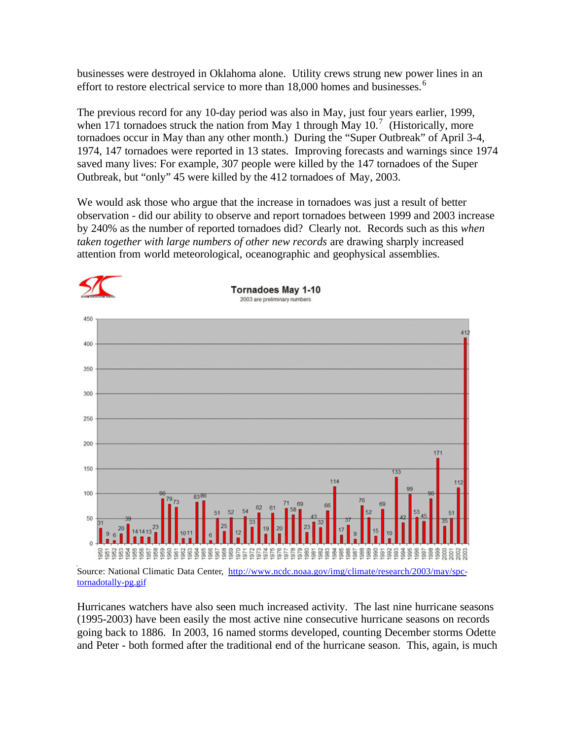businesses were destroyed in Oklahoma alone. Utility crews strung new power lines in an effort to restore electrical service to more than  $18,000$  homes and businesses.<sup>6</sup>

The previous record for any 10-day period was also in May, just four years earlier, 1999, when 171 tornadoes struck the nation from May 1 through May  $10.<sup>7</sup>$  (Historically, more tornadoes occur in May than any other month.) During the "Super Outbreak" of April 3-4, 1974, 147 tornadoes were reported in 13 states. Improving forecasts and warnings since 1974 saved many lives: For example, 307 people were killed by the 147 tornadoes of the Super Outbreak, but "only" 45 were killed by the 412 tornadoes of May, 2003.

We would ask those who argue that the increase in tornadoes was just a result of better observation - did our ability to observe and report tornadoes between 1999 and 2003 increase by 240% as the number of reported tornadoes did? Clearly not. Records such as this *when taken together with large numbers of other new records* are drawing sharply increased attention from world meteorological, oceanographic and geophysical assemblies.



Source: National Climatic Data Center, http://www.ncdc.noaa.gov/img/climate/research/2003/may/spctornadotally-pg.gif

Hurricanes watchers have also seen much increased activity. The last nine hurricane seasons (1995-2003) have been easily the most active nine consecutive hurricane seasons on records going back to 1886. In 2003, 16 named storms developed, counting December storms Odette and Peter - both formed after the traditional end of the hurricane season. This, again, is much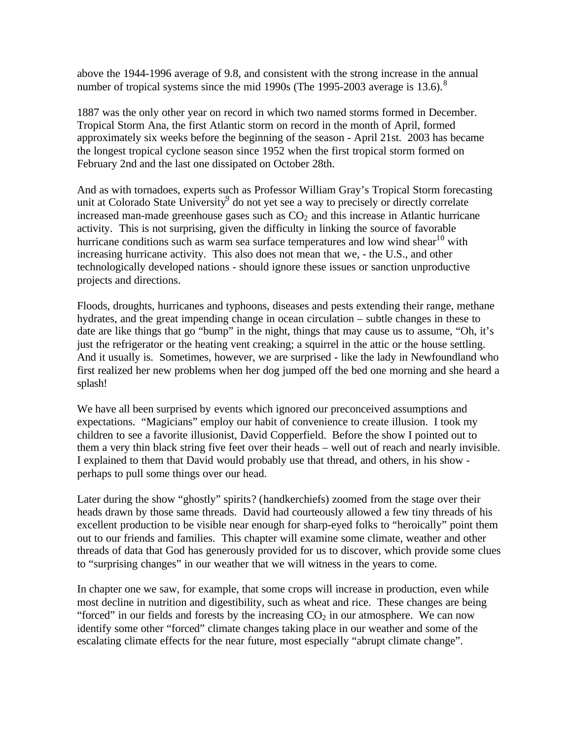above the 1944-1996 average of 9.8, and consistent with the strong increase in the annual number of tropical systems since the mid 1990s (The 1995-2003 average is 13.6).<sup>8</sup>

1887 was the only other year on record in which two named storms formed in December. Tropical Storm Ana, the first Atlantic storm on record in the month of April, formed approximately six weeks before the beginning of the season - April 21st. 2003 has became the longest tropical cyclone season since 1952 when the first tropical storm formed on February 2nd and the last one dissipated on October 28th.

And as with tornadoes, experts such as Professor William Gray's Tropical Storm forecasting unit at Colorado State University<sup>9</sup> do not yet see a way to precisely or directly correlate increased man-made greenhouse gases such as  $CO<sub>2</sub>$  and this increase in Atlantic hurricane activity. This is not surprising, given the difficulty in linking the source of favorable hurricane conditions such as warm sea surface temperatures and low wind shear<sup>10</sup> with increasing hurricane activity. This also does not mean that we, - the U.S., and other technologically developed nations - should ignore these issues or sanction unproductive projects and directions.

Floods, droughts, hurricanes and typhoons, diseases and pests extending their range, methane hydrates, and the great impending change in ocean circulation – subtle changes in these to date are like things that go "bump" in the night, things that may cause us to assume, "Oh, it's just the refrigerator or the heating vent creaking; a squirrel in the attic or the house settling. And it usually is. Sometimes, however, we are surprised - like the lady in Newfoundland who first realized her new problems when her dog jumped off the bed one morning and she heard a splash!

We have all been surprised by events which ignored our preconceived assumptions and expectations. "Magicians" employ our habit of convenience to create illusion. I took my children to see a favorite illusionist, David Copperfield. Before the show I pointed out to them a very thin black string five feet over their heads – well out of reach and nearly invisible. I explained to them that David would probably use that thread, and others, in his show perhaps to pull some things over our head.

Later during the show "ghostly" spirits? (handkerchiefs) zoomed from the stage over their heads drawn by those same threads. David had courteously allowed a few tiny threads of his excellent production to be visible near enough for sharp-eyed folks to "heroically" point them out to our friends and families. This chapter will examine some climate, weather and other threads of data that God has generously provided for us to discover, which provide some clues to "surprising changes" in our weather that we will witness in the years to come.

In chapter one we saw, for example, that some crops will increase in production, even while most decline in nutrition and digestibility, such as wheat and rice. These changes are being "forced" in our fields and forests by the increasing  $CO<sub>2</sub>$  in our atmosphere. We can now identify some other "forced" climate changes taking place in our weather and some of the escalating climate effects for the near future, most especially "abrupt climate change".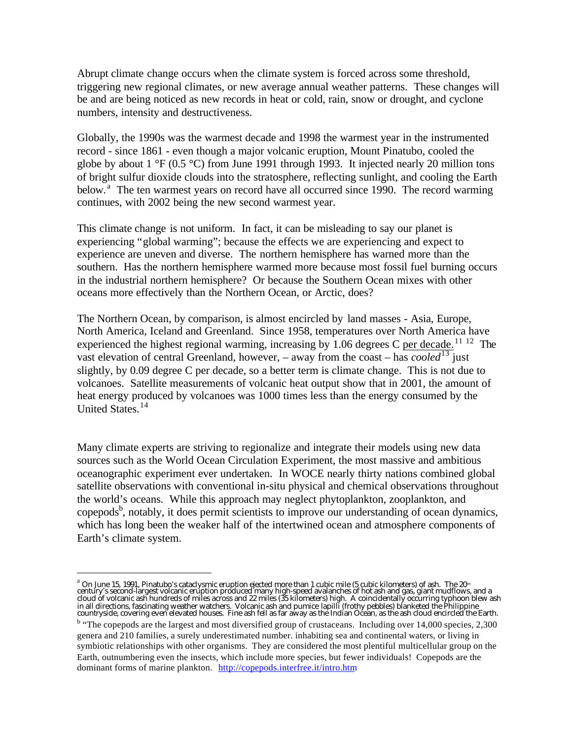Abrupt climate change occurs when the climate system is forced across some threshold, triggering new regional climates, or new average annual weather patterns. These changes will be and are being noticed as new records in heat or cold, rain, snow or drought, and cyclone numbers, intensity and destructiveness.

Globally, the 1990s was the warmest decade and 1998 the warmest year in the instrumented record - since 1861 - even though a major volcanic eruption, Mount Pinatubo, cooled the globe by about  $1 \text{ }^{\circ}F$  (0.5  $\text{ }^{\circ}C$ ) from June 1991 through 1993. It injected nearly 20 million tons of bright sulfur dioxide clouds into the stratosphere, reflecting sunlight, and cooling the Earth below.<sup>a</sup> The ten warmest years on record have all occurred since 1990. The record warming continues, with 2002 being the new second warmest year.

This climate change is not uniform. In fact, it can be misleading to say our planet is experiencing "global warming"; because the effects we are experiencing and expect to experience are uneven and diverse. The northern hemisphere has warned more than the southern. Has the northern hemisphere warmed more because most fossil fuel burning occurs in the industrial northern hemisphere? Or because the Southern Ocean mixes with other oceans more effectively than the Northern Ocean, or Arctic, does?

The Northern Ocean, by comparison, is almost encircled by land masses - Asia, Europe, North America, Iceland and Greenland. Since 1958, temperatures over North America have experienced the highest regional warming, increasing by 1.06 degrees C per decade.<sup>11 12</sup> The vast elevation of central Greenland, however,  $-$  away from the coast  $-$  has *cooled*<sup>13</sup> just slightly, by 0.09 degree C per decade, so a better term is climate change. This is not due to volcanoes. Satellite measurements of volcanic heat output show that in 2001, the amount of heat energy produced by volcanoes was 1000 times less than the energy consumed by the United States.<sup>14</sup>

Many climate experts are striving to regionalize and integrate their models using new data sources such as the World Ocean Circulation Experiment, the most massive and ambitious oceanographic experiment ever undertaken. In WOCE nearly thirty nations combined global satellite observations with conventional in-situ physical and chemical observations throughout the world's oceans. While this approach may neglect phytoplankton, zooplankton, and copepods<sup>b</sup>, notably, it does permit scientists to improve our understanding of ocean dynamics, which has long been the weaker half of the intertwined ocean and atmosphere components of Earth's climate system.

 $\overline{a}$ 

a<br>On June 15, 1991, Pinatubo's cataclysmic eruption ejected more than 1 cubic mile (5 cubic kilometers) of ash. The 20<sup>th</sup><br>century's second-largest volcanic eruption produced many high-speed avalanches of hot ash and gas, cloud of volcanic ash hundreds of miles across and 22 miles (35 kilometers) high. A coincidentally occurring typhoon blew ash in all directions, fascinating weather watchers. Volcanic ash and pumice lapilli (frothy pebbles) blanketed the Philippine<br>countryside, covering even elevated houses. Fine ash fell as far away as the Indian Ocean, as the a

<sup>&</sup>lt;sup>b</sup> "The copepods are the largest and most diversified group of crustaceans. Including over 14,000 species, 2,300 genera and 210 families, a surely underestimated number. inhabiting sea and continental waters, or living in symbiotic relationships with other organisms. They are considered the most plentiful multicellular group on the Earth, outnumbering even the insects, which include more species, but fewer individuals! Copepods are the dominant forms of marine plankton. http://copepods.interfree.it/intro.htm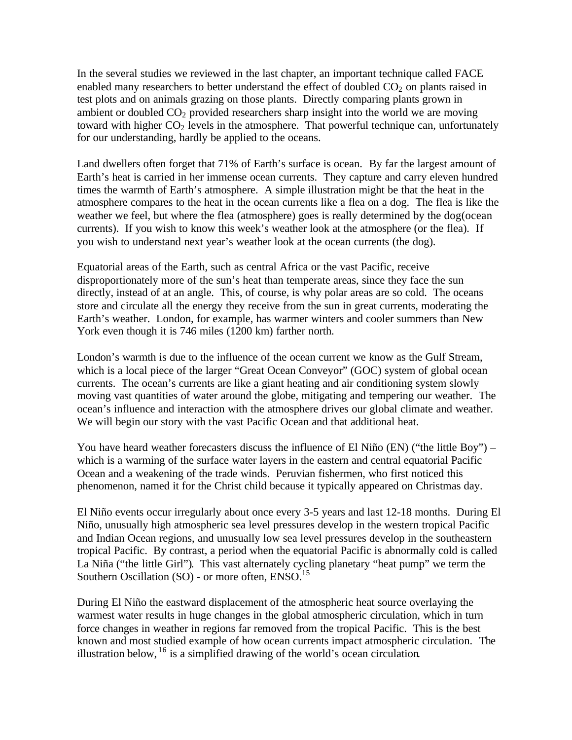In the several studies we reviewed in the last chapter, an important technique called FACE enabled many researchers to better understand the effect of doubled  $CO<sub>2</sub>$  on plants raised in test plots and on animals grazing on those plants. Directly comparing plants grown in ambient or doubled  $CO<sub>2</sub>$  provided researchers sharp insight into the world we are moving toward with higher  $CO<sub>2</sub>$  levels in the atmosphere. That powerful technique can, unfortunately for our understanding, hardly be applied to the oceans.

Land dwellers often forget that 71% of Earth's surface is ocean. By far the largest amount of Earth's heat is carried in her immense ocean currents. They capture and carry eleven hundred times the warmth of Earth's atmosphere. A simple illustration might be that the heat in the atmosphere compares to the heat in the ocean currents like a flea on a dog. The flea is like the weather we feel, but where the flea (atmosphere) goes is really determined by the dog(ocean currents). If you wish to know this week's weather look at the atmosphere (or the flea). If you wish to understand next year's weather look at the ocean currents (the dog).

Equatorial areas of the Earth, such as central Africa or the vast Pacific, receive disproportionately more of the sun's heat than temperate areas, since they face the sun directly, instead of at an angle. This, of course, is why polar areas are so cold. The oceans store and circulate all the energy they receive from the sun in great currents, moderating the Earth's weather. London, for example, has warmer winters and cooler summers than New York even though it is 746 miles (1200 km) farther north.

London's warmth is due to the influence of the ocean current we know as the Gulf Stream, which is a local piece of the larger "Great Ocean Conveyor" (GOC) system of global ocean currents. The ocean's currents are like a giant heating and air conditioning system slowly moving vast quantities of water around the globe, mitigating and tempering our weather. The ocean's influence and interaction with the atmosphere drives our global climate and weather. We will begin our story with the vast Pacific Ocean and that additional heat.

You have heard weather forecasters discuss the influence of El Niño (EN) ("the little Boy") – which is a warming of the surface water layers in the eastern and central equatorial Pacific Ocean and a weakening of the trade winds. Peruvian fishermen, who first noticed this phenomenon, named it for the Christ child because it typically appeared on Christmas day.

El Niño events occur irregularly about once every 3-5 years and last 12-18 months. During El Niño, unusually high atmospheric sea level pressures develop in the western tropical Pacific and Indian Ocean regions, and unusually low sea level pressures develop in the southeastern tropical Pacific. By contrast, a period when the equatorial Pacific is abnormally cold is called La Niña ("the little Girl"). This vast alternately cycling planetary "heat pump" we term the Southern Oscillation (SO) - or more often, ENSO.<sup>15</sup>

During El Niño the eastward displacement of the atmospheric heat source overlaying the warmest water results in huge changes in the global atmospheric circulation, which in turn force changes in weather in regions far removed from the tropical Pacific. This is the best known and most studied example of how ocean currents impact atmospheric circulation. The illustration below,  $^{16}$  is a simplified drawing of the world's ocean circulation.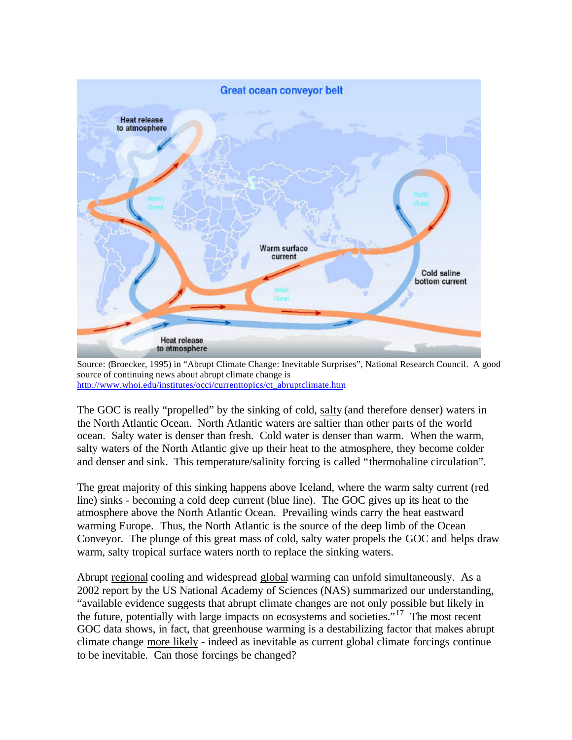

Source: (Broecker, 1995) in "Abrupt Climate Change: Inevitable Surprises", National Research Council. A good source of continuing news about abrupt climate change is http://www.whoi.edu/institutes/occi/currenttopics/ct\_abruptclimate.htm

The GOC is really "propelled" by the sinking of cold, salty (and therefore denser) waters in the North Atlantic Ocean. North Atlantic waters are saltier than other parts of the world ocean. Salty water is denser than fresh. Cold water is denser than warm. When the warm, salty waters of the North Atlantic give up their heat to the atmosphere, they become colder and denser and sink. This temperature/salinity forcing is called "thermohaline circulation".

The great majority of this sinking happens above Iceland, where the warm salty current (red line) sinks - becoming a cold deep current (blue line). The GOC gives up its heat to the atmosphere above the North Atlantic Ocean. Prevailing winds carry the heat eastward warming Europe. Thus, the North Atlantic is the source of the deep limb of the Ocean Conveyor. The plunge of this great mass of cold, salty water propels the GOC and helps draw warm, salty tropical surface waters north to replace the sinking waters.

Abrupt regional cooling and widespread global warming can unfold simultaneously. As a 2002 report by the US National Academy of Sciences (NAS) summarized our understanding, "available evidence suggests that abrupt climate changes are not only possible but likely in the future, potentially with large impacts on ecosystems and societies.<sup>"17</sup> The most recent GOC data shows, in fact, that greenhouse warming is a destabilizing factor that makes abrupt climate change more likely - indeed as inevitable as current global climate forcings continue to be inevitable. Can those forcings be changed?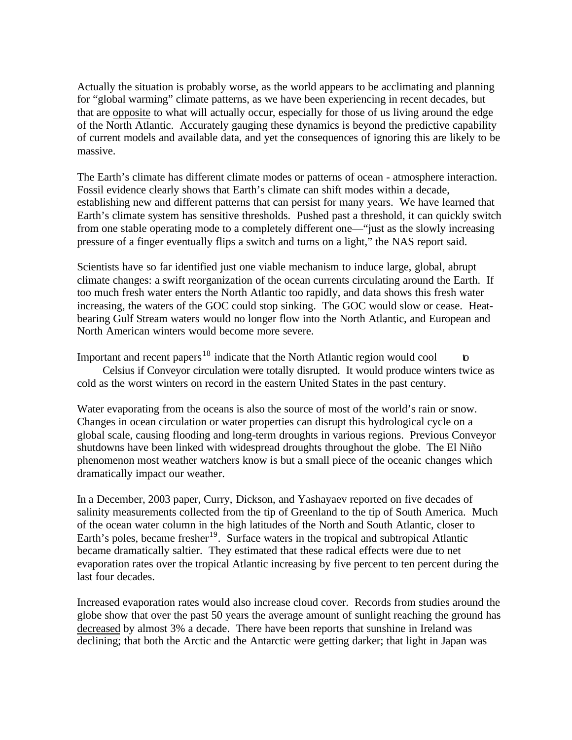Actually the situation is probably worse, as the world appears to be acclimating and planning for "global warming" climate patterns, as we have been experiencing in recent decades, but that are opposite to what will actually occur, especially for those of us living around the edge of the North Atlantic. Accurately gauging these dynamics is beyond the predictive capability of current models and available data, and yet the consequences of ignoring this are likely to be massive.

The Earth's climate has different climate modes or patterns of ocean - atmosphere interaction. Fossil evidence clearly shows that Earth's climate can shift modes within a decade, establishing new and different patterns that can persist for many years. We have learned that Earth's climate system has sensitive thresholds. Pushed past a threshold, it can quickly switch from one stable operating mode to a completely different one—"just as the slowly increasing pressure of a finger eventually flips a switch and turns on a light," the NAS report said.

Scientists have so far identified just one viable mechanism to induce large, global, abrupt climate changes: a swift reorganization of the ocean currents circulating around the Earth. If too much fresh water enters the North Atlantic too rapidly, and data shows this fresh water increasing, the waters of the GOC could stop sinking. The GOC would slow or cease. Heatbearing Gulf Stream waters would no longer flow into the North Atlantic, and European and North American winters would become more severe.

Important and recent papers<sup>18</sup> indicate that the North Atlantic region would cool to Celsius if Conveyor circulation were totally disrupted. It would produce winters twice as cold as the worst winters on record in the eastern United States in the past century.

Water evaporating from the oceans is also the source of most of the world's rain or snow. Changes in ocean circulation or water properties can disrupt this hydrological cycle on a global scale, causing flooding and long-term droughts in various regions. Previous Conveyor shutdowns have been linked with widespread droughts throughout the globe. The El Niño phenomenon most weather watchers know is but a small piece of the oceanic changes which dramatically impact our weather.

In a December, 2003 paper, Curry, Dickson, and Yashayaev reported on five decades of salinity measurements collected from the tip of Greenland to the tip of South America. Much of the ocean water column in the high latitudes of the North and South Atlantic, closer to Earth's poles, became fresher<sup>19</sup>. Surface waters in the tropical and subtropical Atlantic became dramatically saltier. They estimated that these radical effects were due to net evaporation rates over the tropical Atlantic increasing by five percent to ten percent during the last four decades.

Increased evaporation rates would also increase cloud cover. Records from studies around the globe show that over the past 50 years the average amount of sunlight reaching the ground has decreased by almost 3% a decade. There have been reports that sunshine in Ireland was declining; that both the Arctic and the Antarctic were getting darker; that light in Japan was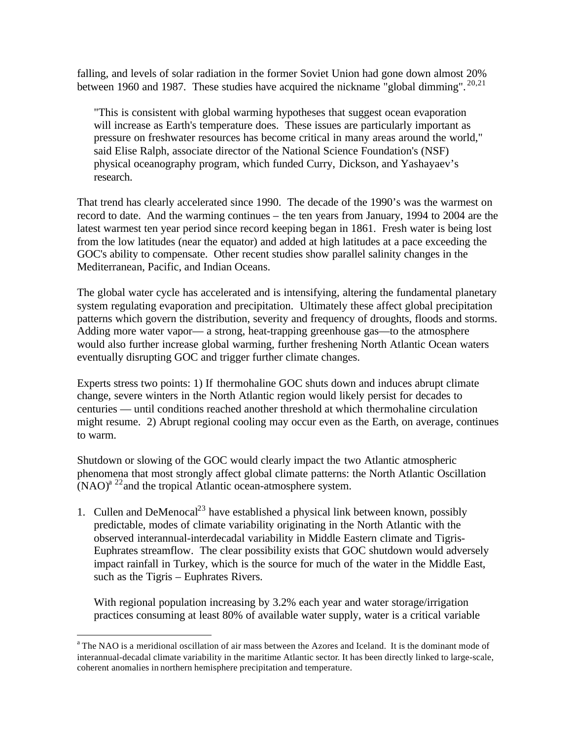falling, and levels of solar radiation in the former Soviet Union had gone down almost 20% between 1960 and 1987. These studies have acquired the nickname "global dimming".  $^{20,21}$ 

"This is consistent with global warming hypotheses that suggest ocean evaporation will increase as Earth's temperature does. These issues are particularly important as pressure on freshwater resources has become critical in many areas around the world," said Elise Ralph, associate director of the National Science Foundation's (NSF) physical oceanography program, which funded Curry, Dickson, and Yashayaev's research.

That trend has clearly accelerated since 1990. The decade of the 1990's was the warmest on record to date. And the warming continues – the ten years from January, 1994 to 2004 are the latest warmest ten year period since record keeping began in 1861. Fresh water is being lost from the low latitudes (near the equator) and added at high latitudes at a pace exceeding the GOC's ability to compensate. Other recent studies show parallel salinity changes in the Mediterranean, Pacific, and Indian Oceans.

The global water cycle has accelerated and is intensifying, altering the fundamental planetary system regulating evaporation and precipitation. Ultimately these affect global precipitation patterns which govern the distribution, severity and frequency of droughts, floods and storms. Adding more water vapor— a strong, heat-trapping greenhouse gas—to the atmosphere would also further increase global warming, further freshening North Atlantic Ocean waters eventually disrupting GOC and trigger further climate changes.

Experts stress two points: 1) If thermohaline GOC shuts down and induces abrupt climate change, severe winters in the North Atlantic region would likely persist for decades to centuries — until conditions reached another threshold at which thermohaline circulation might resume. 2) Abrupt regional cooling may occur even as the Earth, on average, continues to warm.

Shutdown or slowing of the GOC would clearly impact the two Atlantic atmospheric phenomena that most strongly affect global climate patterns: the North Atlantic Oscillation  $(NAO)<sup>a</sup>$ <sup>22</sup>and the tropical Atlantic ocean-atmosphere system.

1. Cullen and DeMenocal<sup>23</sup> have established a physical link between known, possibly predictable, modes of climate variability originating in the North Atlantic with the observed interannual-interdecadal variability in Middle Eastern climate and Tigris-Euphrates streamflow. The clear possibility exists that GOC shutdown would adversely impact rainfall in Turkey, which is the source for much of the water in the Middle East, such as the Tigris – Euphrates Rivers.

With regional population increasing by 3.2% each year and water storage/irrigation practices consuming at least 80% of available water supply, water is a critical variable

 $\overline{a}$ 

<sup>&</sup>lt;sup>a</sup> The NAO is a meridional oscillation of air mass between the Azores and Iceland. It is the dominant mode of interannual-decadal climate variability in the maritime Atlantic sector. It has been directly linked to large-scale, coherent anomalies in northern hemisphere precipitation and temperature.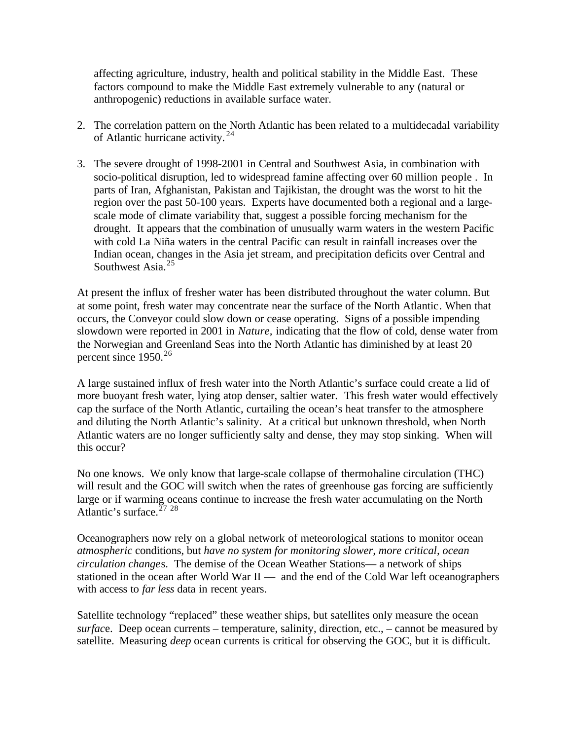affecting agriculture, industry, health and political stability in the Middle East. These factors compound to make the Middle East extremely vulnerable to any (natural or anthropogenic) reductions in available surface water.

- 2. The correlation pattern on the North Atlantic has been related to a multidecadal variability of Atlantic hurricane activity. <sup>24</sup>
- 3. The severe drought of 1998-2001 in Central and Southwest Asia, in combination with socio-political disruption, led to widespread famine affecting over 60 million people . In parts of Iran, Afghanistan, Pakistan and Tajikistan, the drought was the worst to hit the region over the past 50-100 years. Experts have documented both a regional and a largescale mode of climate variability that, suggest a possible forcing mechanism for the drought. It appears that the combination of unusually warm waters in the western Pacific with cold La Niña waters in the central Pacific can result in rainfall increases over the Indian ocean, changes in the Asia jet stream, and precipitation deficits over Central and Southwest Asia.<sup>25</sup>

At present the influx of fresher water has been distributed throughout the water column. But at some point, fresh water may concentrate near the surface of the North Atlantic. When that occurs, the Conveyor could slow down or cease operating. Signs of a possible impending slowdown were reported in 2001 in *Nature,* indicating that the flow of cold, dense water from the Norwegian and Greenland Seas into the North Atlantic has diminished by at least 20 percent since  $1950^{26}$ 

A large sustained influx of fresh water into the North Atlantic's surface could create a lid of more buoyant fresh water, lying atop denser, saltier water. This fresh water would effectively cap the surface of the North Atlantic, curtailing the ocean's heat transfer to the atmosphere and diluting the North Atlantic's salinity. At a critical but unknown threshold, when North Atlantic waters are no longer sufficiently salty and dense, they may stop sinking. When will this occur?

No one knows. We only know that large-scale collapse of thermohaline circulation (THC) will result and the GOC will switch when the rates of greenhouse gas forcing are sufficiently large or if warming oceans continue to increase the fresh water accumulating on the North Atlantic's surface.  $27\overline{28}$ 

Oceanographers now rely on a global network of meteorological stations to monitor ocean *atmospheric* conditions, but *have no system for monitoring slower, more critical, ocean circulation change*s. The demise of the Ocean Weather Stations— a network of ships stationed in the ocean after World War II — and the end of the Cold War left oceanographers with access to *far less* data in recent years.

Satellite technology "replaced" these weather ships, but satellites only measure the ocean *surfac*e. Deep ocean currents – temperature, salinity, direction, etc., – cannot be measured by satellite. Measuring *deep* ocean currents is critical for observing the GOC, but it is difficult.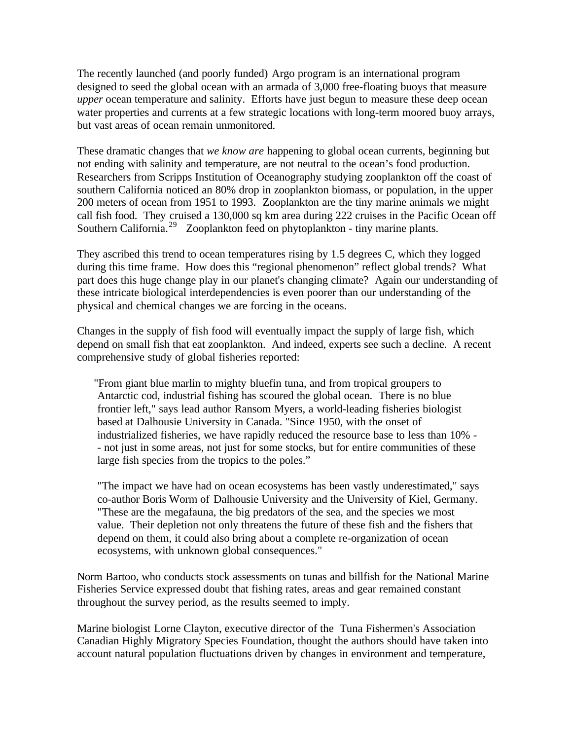The recently launched (and poorly funded) Argo program is an international program designed to seed the global ocean with an armada of 3,000 free-floating buoys that measure *upper* ocean temperature and salinity. Efforts have just begun to measure these deep ocean water properties and currents at a few strategic locations with long-term moored buoy arrays, but vast areas of ocean remain unmonitored.

These dramatic changes that *we know are* happening to global ocean currents, beginning but not ending with salinity and temperature, are not neutral to the ocean's food production. Researchers from Scripps Institution of Oceanography studying zooplankton off the coast of southern California noticed an 80% drop in zooplankton biomass, or population, in the upper 200 meters of ocean from 1951 to 1993. Zooplankton are the tiny marine animals we might call fish food. They cruised a 130,000 sq km area during 222 cruises in the Pacific Ocean off Southern California.<sup>29</sup> Zooplankton feed on phytoplankton - tiny marine plants.

They ascribed this trend to ocean temperatures rising by 1.5 degrees C, which they logged during this time frame. How does this "regional phenomenon" reflect global trends? What part does this huge change play in our planet's changing climate? Again our understanding of these intricate biological interdependencies is even poorer than our understanding of the physical and chemical changes we are forcing in the oceans.

Changes in the supply of fish food will eventually impact the supply of large fish, which depend on small fish that eat zooplankton. And indeed, experts see such a decline. A recent comprehensive study of global fisheries reported:

"From giant blue marlin to mighty bluefin tuna, and from tropical groupers to Antarctic cod, industrial fishing has scoured the global ocean. There is no blue frontier left," says lead author Ransom Myers, a world-leading fisheries biologist based at Dalhousie University in Canada. "Since 1950, with the onset of industrialized fisheries, we have rapidly reduced the resource base to less than 10% - - not just in some areas, not just for some stocks, but for entire communities of these large fish species from the tropics to the poles."

"The impact we have had on ocean ecosystems has been vastly underestimated," says co-author Boris Worm of Dalhousie University and the University of Kiel, Germany. "These are the megafauna, the big predators of the sea, and the species we most value. Their depletion not only threatens the future of these fish and the fishers that depend on them, it could also bring about a complete re-organization of ocean ecosystems, with unknown global consequences."

Norm Bartoo, who conducts stock assessments on tunas and billfish for the National Marine Fisheries Service expressed doubt that fishing rates, areas and gear remained constant throughout the survey period, as the results seemed to imply.

Marine biologist Lorne Clayton, executive director of the Tuna Fishermen's Association Canadian Highly Migratory Species Foundation, thought the authors should have taken into account natural population fluctuations driven by changes in environment and temperature,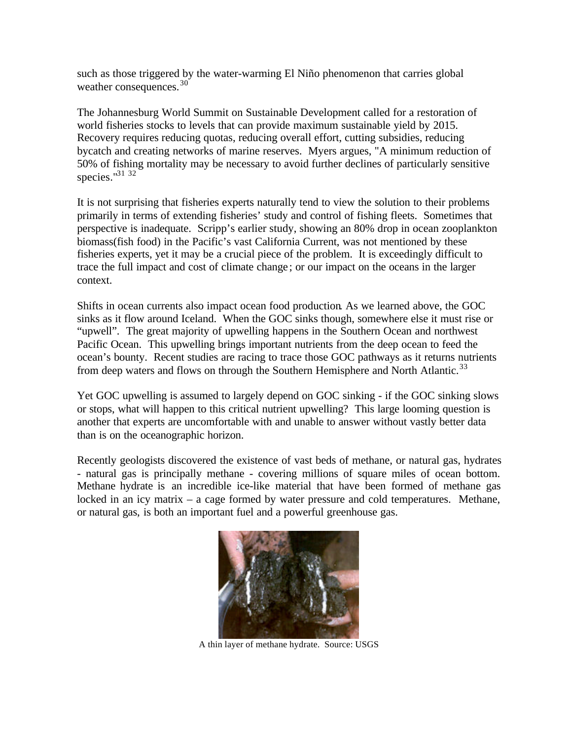such as those triggered by the water-warming El Niño phenomenon that carries global weather consequences.<sup>30</sup>

The Johannesburg World Summit on Sustainable Development called for a restoration of world fisheries stocks to levels that can provide maximum sustainable yield by 2015. Recovery requires reducing quotas, reducing overall effort, cutting subsidies, reducing bycatch and creating networks of marine reserves. Myers argues, "A minimum reduction of 50% of fishing mortality may be necessary to avoid further declines of particularly sensitive species."<sup>31</sup><sup>32</sup>

It is not surprising that fisheries experts naturally tend to view the solution to their problems primarily in terms of extending fisheries' study and control of fishing fleets. Sometimes that perspective is inadequate. Scripp's earlier study, showing an 80% drop in ocean zooplankton biomass(fish food) in the Pacific's vast California Current, was not mentioned by these fisheries experts, yet it may be a crucial piece of the problem. It is exceedingly difficult to trace the full impact and cost of climate change ; or our impact on the oceans in the larger context.

Shifts in ocean currents also impact ocean food production. As we learned above, the GOC sinks as it flow around Iceland. When the GOC sinks though, somewhere else it must rise or "upwell". The great majority of upwelling happens in the Southern Ocean and northwest Pacific Ocean. This upwelling brings important nutrients from the deep ocean to feed the ocean's bounty. Recent studies are racing to trace those GOC pathways as it returns nutrients from deep waters and flows on through the Southern Hemisphere and North Atlantic.<sup>33</sup>

Yet GOC upwelling is assumed to largely depend on GOC sinking - if the GOC sinking slows or stops, what will happen to this critical nutrient upwelling? This large looming question is another that experts are uncomfortable with and unable to answer without vastly better data than is on the oceanographic horizon.

Recently geologists discovered the existence of vast beds of methane, or natural gas, hydrates - natural gas is principally methane - covering millions of square miles of ocean bottom. Methane hydrate is an incredible ice-like material that have been formed of methane gas locked in an icy matrix – a cage formed by water pressure and cold temperatures. Methane, or natural gas, is both an important fuel and a powerful greenhouse gas.



A thin layer of methane hydrate. Source: USGS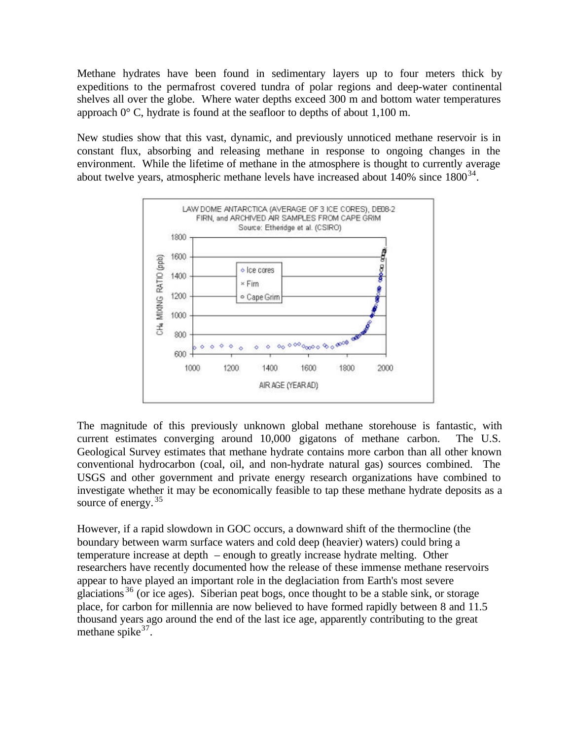Methane hydrates have been found in sedimentary layers up to four meters thick by expeditions to the permafrost covered tundra of polar regions and deep-water continental shelves all over the globe. Where water depths exceed 300 m and bottom water temperatures approach 0° C, hydrate is found at the seafloor to depths of about 1,100 m.

New studies show that this vast, dynamic, and previously unnoticed methane reservoir is in constant flux, absorbing and releasing methane in response to ongoing changes in the environment. While the lifetime of methane in the atmosphere is thought to currently average about twelve years, atmospheric methane levels have increased about  $140\%$  since  $1800^{34}$ .



The magnitude of this previously unknown global methane storehouse is fantastic, with current estimates converging around 10,000 gigatons of methane carbon. The U.S. Geological Survey estimates that methane hydrate contains more carbon than all other known conventional hydrocarbon (coal, oil, and non-hydrate natural gas) sources combined. The USGS and other government and private energy research organizations have combined to investigate whether it may be economically feasible to tap these methane hydrate deposits as a source of energy.<sup>35</sup>

However, if a rapid slowdown in GOC occurs, a downward shift of the thermocline (the boundary between warm surface waters and cold deep (heavier) waters) could bring a temperature increase at depth – enough to greatly increase hydrate melting. Other researchers have recently documented how the release of these immense methane reservoirs appear to have played an important role in the deglaciation from Earth's most severe glaciations <sup>36</sup> (or ice ages). Siberian peat bogs, once thought to be a stable sink, or storage place, for carbon for millennia are now believed to have formed rapidly between 8 and 11.5 thousand years ago around the end of the last ice age, apparently contributing to the great methane spike  $37$ .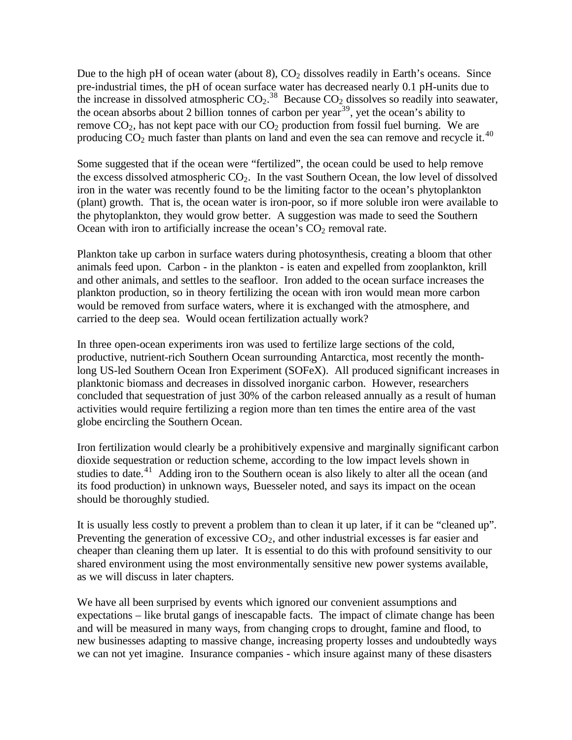Due to the high pH of ocean water (about 8),  $CO<sub>2</sub>$  dissolves readily in Earth's oceans. Since pre-industrial times, the pH of ocean surface water has decreased nearly 0.1 pH-units due to the increase in dissolved atmospheric  $CO_2$ .<sup>38</sup> Because  $CO_2$  dissolves so readily into seawater, the ocean absorbs about 2 billion tonnes of carbon per year<sup>39</sup>, yet the ocean's ability to remove  $CO_2$ , has not kept pace with our  $CO_2$  production from fossil fuel burning. We are producing  $CO<sub>2</sub>$  much faster than plants on land and even the sea can remove and recycle it.<sup>40</sup>

Some suggested that if the ocean were "fertilized", the ocean could be used to help remove the excess dissolved atmospheric  $CO<sub>2</sub>$ . In the vast Southern Ocean, the low level of dissolved iron in the water was recently found to be the limiting factor to the ocean's phytoplankton (plant) growth. That is, the ocean water is iron-poor, so if more soluble iron were available to the phytoplankton, they would grow better. A suggestion was made to seed the Southern Ocean with iron to artificially increase the ocean's  $CO<sub>2</sub>$  removal rate.

Plankton take up carbon in surface waters during photosynthesis, creating a bloom that other animals feed upon. Carbon - in the plankton - is eaten and expelled from zooplankton, krill and other animals, and settles to the seafloor. Iron added to the ocean surface increases the plankton production, so in theory fertilizing the ocean with iron would mean more carbon would be removed from surface waters, where it is exchanged with the atmosphere, and carried to the deep sea. Would ocean fertilization actually work?

In three open-ocean experiments iron was used to fertilize large sections of the cold, productive, nutrient-rich Southern Ocean surrounding Antarctica, most recently the monthlong US-led Southern Ocean Iron Experiment (SOFeX). All produced significant increases in planktonic biomass and decreases in dissolved inorganic carbon. However, researchers concluded that sequestration of just 30% of the carbon released annually as a result of human activities would require fertilizing a region more than ten times the entire area of the vast globe encircling the Southern Ocean.

Iron fertilization would clearly be a prohibitively expensive and marginally significant carbon dioxide sequestration or reduction scheme, according to the low impact levels shown in studies to date.<sup>41</sup> Adding iron to the Southern ocean is also likely to alter all the ocean (and its food production) in unknown ways, Buesseler noted, and says its impact on the ocean should be thoroughly studied.

It is usually less costly to prevent a problem than to clean it up later, if it can be "cleaned up". Preventing the generation of excessive  $CO<sub>2</sub>$ , and other industrial excesses is far easier and cheaper than cleaning them up later. It is essential to do this with profound sensitivity to our shared environment using the most environmentally sensitive new power systems available, as we will discuss in later chapters.

We have all been surprised by events which ignored our convenient assumptions and expectations – like brutal gangs of inescapable facts. The impact of climate change has been and will be measured in many ways, from changing crops to drought, famine and flood, to new businesses adapting to massive change, increasing property losses and undoubtedly ways we can not yet imagine. Insurance companies - which insure against many of these disasters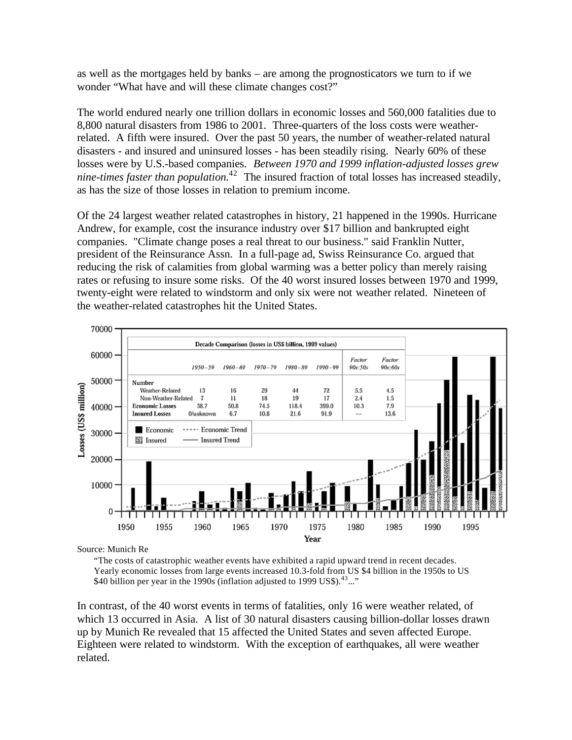as well as the mortgages held by banks – are among the prognosticators we turn to if we wonder "What have and will these climate changes cost?"

The world endured nearly one trillion dollars in economic losses and 560,000 fatalities due to 8,800 natural disasters from 1986 to 2001. Three-quarters of the loss costs were weatherrelated. A fifth were insured. Over the past 50 years, the number of weather-related natural disasters - and insured and uninsured losses - has been steadily rising. Nearly 60% of these losses were by U.S.-based companies. *Between 1970 and 1999 inflation-adjusted losses grew nine-times faster than population.*<sup>42</sup> The insured fraction of total losses has increased steadily, as has the size of those losses in relation to premium income.

Of the 24 largest weather related catastrophes in history, 21 happened in the 1990s. Hurricane Andrew, for example, cost the insurance industry over \$17 billion and bankrupted eight companies. "Climate change poses a real threat to our business." said Franklin Nutter, president of the Reinsurance Assn. In a full-page ad, Swiss Reinsurance Co. argued that reducing the risk of calamities from global warming was a better policy than merely raising rates or refusing to insure some risks. Of the 40 worst insured losses between 1970 and 1999, twenty-eight were related to windstorm and only six were not weather related. Nineteen of the weather-related catastrophes hit the United States.



Source: Munich Re

"The costs of catastrophic weather events have exhibited a rapid upward trend in recent decades. Yearly economic losses from large events increased 10.3-fold from US \$4 billion in the 1950s to US \$40 billion per year in the 1990s (inflation adjusted to 1999 US\$).<sup>43</sup>..."

In contrast, of the 40 worst events in terms of fatalities, only 16 were weather related, of which 13 occurred in Asia. A list of 30 natural disasters causing billion-dollar losses drawn up by Munich Re revealed that 15 affected the United States and seven affected Europe. Eighteen were related to windstorm. With the exception of earthquakes, all were weather related.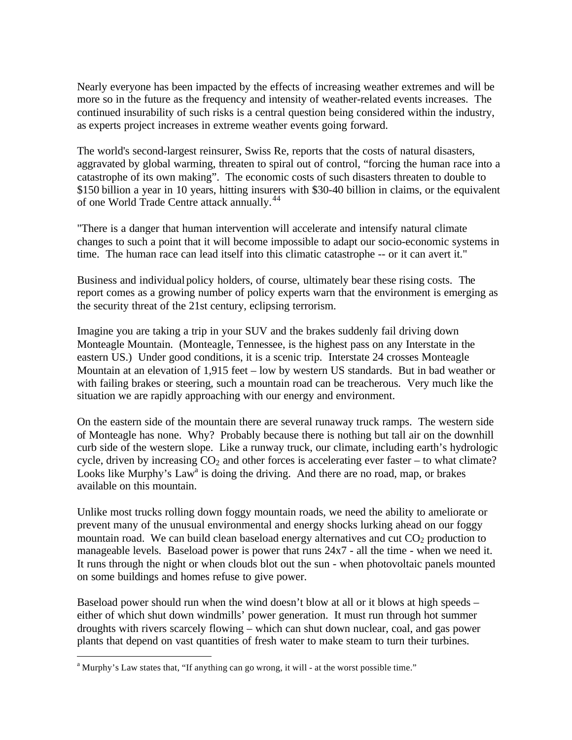Nearly everyone has been impacted by the effects of increasing weather extremes and will be more so in the future as the frequency and intensity of weather-related events increases. The continued insurability of such risks is a central question being considered within the industry, as experts project increases in extreme weather events going forward.

The world's second-largest reinsurer, Swiss Re, reports that the costs of natural disasters, aggravated by global warming, threaten to spiral out of control, "forcing the human race into a catastrophe of its own making". The economic costs of such disasters threaten to double to \$150 billion a year in 10 years, hitting insurers with \$30-40 billion in claims, or the equivalent of one World Trade Centre attack annually.<sup>44</sup>

"There is a danger that human intervention will accelerate and intensify natural climate changes to such a point that it will become impossible to adapt our socio-economic systems in time. The human race can lead itself into this climatic catastrophe -- or it can avert it."

Business and individual policy holders, of course, ultimately bear these rising costs. The report comes as a growing number of policy experts warn that the environment is emerging as the security threat of the 21st century, eclipsing terrorism.

Imagine you are taking a trip in your SUV and the brakes suddenly fail driving down Monteagle Mountain. (Monteagle, Tennessee, is the highest pass on any Interstate in the eastern US.) Under good conditions, it is a scenic trip. Interstate 24 crosses Monteagle Mountain at an elevation of 1,915 feet – low by western US standards. But in bad weather or with failing brakes or steering, such a mountain road can be treacherous. Very much like the situation we are rapidly approaching with our energy and environment.

On the eastern side of the mountain there are several runaway truck ramps. The western side of Monteagle has none. Why? Probably because there is nothing but tall air on the downhill curb side of the western slope. Like a runway truck, our climate, including earth's hydrologic cycle, driven by increasing  $CO<sub>2</sub>$  and other forces is accelerating ever faster – to what climate? Looks like Murphy's Law<sup>a</sup> is doing the driving. And there are no road, map, or brakes available on this mountain.

Unlike most trucks rolling down foggy mountain roads, we need the ability to ameliorate or prevent many of the unusual environmental and energy shocks lurking ahead on our foggy mountain road. We can build clean baseload energy alternatives and cut  $CO<sub>2</sub>$  production to manageable levels. Baseload power is power that runs 24x7 - all the time - when we need it. It runs through the night or when clouds blot out the sun - when photovoltaic panels mounted on some buildings and homes refuse to give power.

Baseload power should run when the wind doesn't blow at all or it blows at high speeds – either of which shut down windmills' power generation. It must run through hot summer droughts with rivers scarcely flowing – which can shut down nuclear, coal, and gas power plants that depend on vast quantities of fresh water to make steam to turn their turbines.

 $\overline{a}$ 

<sup>&</sup>lt;sup>a</sup> Murphy's Law states that, "If anything can go wrong, it will - at the worst possible time."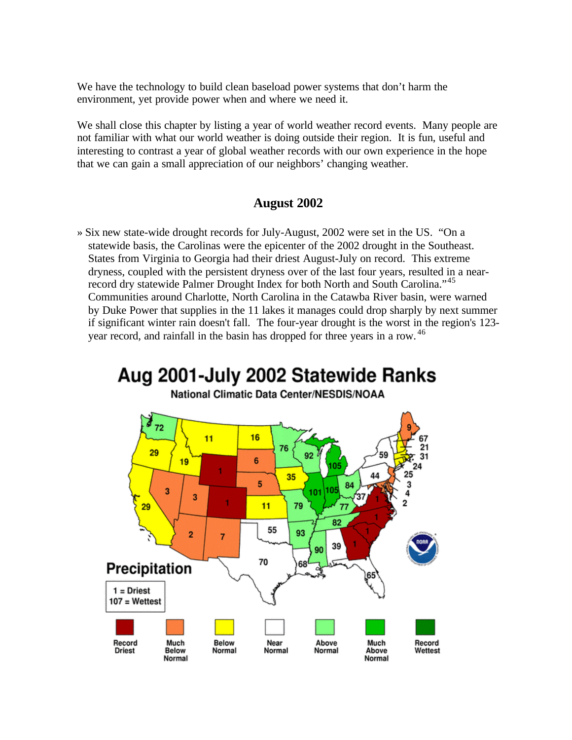We have the technology to build clean baseload power systems that don't harm the environment, yet provide power when and where we need it.

We shall close this chapter by listing a year of world weather record events. Many people are not familiar with what our world weather is doing outside their region. It is fun, useful and interesting to contrast a year of global weather records with our own experience in the hope that we can gain a small appreciation of our neighbors' changing weather.

### **August 2002**

» Six new state-wide drought records for July-August, 2002 were set in the US. "On a statewide basis, the Carolinas were the epicenter of the 2002 drought in the Southeast. States from Virginia to Georgia had their driest August-July on record. This extreme dryness, coupled with the persistent dryness over of the last four years, resulted in a nearrecord dry statewide Palmer Drought Index for both North and South Carolina."<sup>45</sup> Communities around Charlotte, North Carolina in the Catawba River basin, were warned by Duke Power that supplies in the 11 lakes it manages could drop sharply by next summer if significant winter rain doesn't fall. The four-year drought is the worst in the region's 123 year record, and rainfall in the basin has dropped for three years in a row. <sup>46</sup>

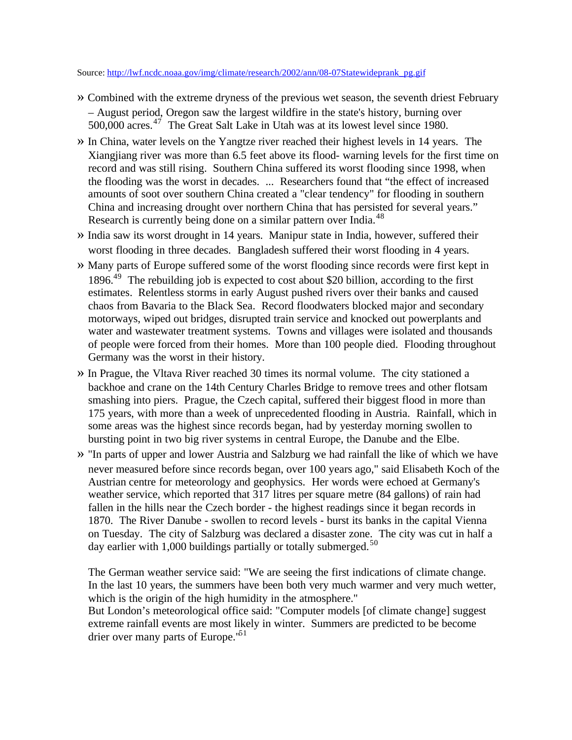Source: http://lwf.ncdc.noaa.gov/img/climate/research/2002/ann/08-07Statewideprank\_pg.gif

- » Combined with the extreme dryness of the previous wet season, the seventh driest February – August period, Oregon saw the largest wildfire in the state's history, burning over  $500,000$  acres.<sup>47</sup> The Great Salt Lake in Utah was at its lowest level since 1980.
- » In China, water levels on the Yangtze river reached their highest levels in 14 years. The Xiangjiang river was more than 6.5 feet above its flood- warning levels for the first time on record and was still rising. Southern China suffered its worst flooding since 1998, when the flooding was the worst in decades. ... Researchers found that "the effect of increased amounts of soot over southern China created a "clear tendency" for flooding in southern China and increasing drought over northern China that has persisted for several years." Research is currently being done on a similar pattern over India.<sup>48</sup>
- » India saw its worst drought in 14 years. Manipur state in India, however, suffered their worst flooding in three decades. Bangladesh suffered their worst flooding in 4 years.
- » Many parts of Europe suffered some of the worst flooding since records were first kept in  $1896.<sup>49</sup>$  The rebuilding job is expected to cost about \$20 billion, according to the first estimates. Relentless storms in early August pushed rivers over their banks and caused chaos from Bavaria to the Black Sea. Record floodwaters blocked major and secondary motorways, wiped out bridges, disrupted train service and knocked out powerplants and water and wastewater treatment systems. Towns and villages were isolated and thousands of people were forced from their homes. More than 100 people died. Flooding throughout Germany was the worst in their history.
- » In Prague, the Vltava River reached 30 times its normal volume. The city stationed a backhoe and crane on the 14th Century Charles Bridge to remove trees and other flotsam smashing into piers. Prague, the Czech capital, suffered their biggest flood in more than 175 years, with more than a week of unprecedented flooding in Austria. Rainfall, which in some areas was the highest since records began, had by yesterday morning swollen to bursting point in two big river systems in central Europe, the Danube and the Elbe.
- » "In parts of upper and lower Austria and Salzburg we had rainfall the like of which we have never measured before since records began, over 100 years ago," said Elisabeth Koch of the Austrian centre for meteorology and geophysics. Her words were echoed at Germany's weather service, which reported that 317 litres per square metre (84 gallons) of rain had fallen in the hills near the Czech border - the highest readings since it began records in 1870. The River Danube - swollen to record levels - burst its banks in the capital Vienna on Tuesday. The city of Salzburg was declared a disaster zone. The city was cut in half a day earlier with 1,000 buildings partially or totally submerged.<sup>50</sup>

The German weather service said: "We are seeing the first indications of climate change. In the last 10 years, the summers have been both very much warmer and very much wetter, which is the origin of the high humidity in the atmosphere."

But London's meteorological office said: "Computer models [of climate change] suggest extreme rainfall events are most likely in winter. Summers are predicted to be become drier over many parts of Europe.<sup>'51</sup>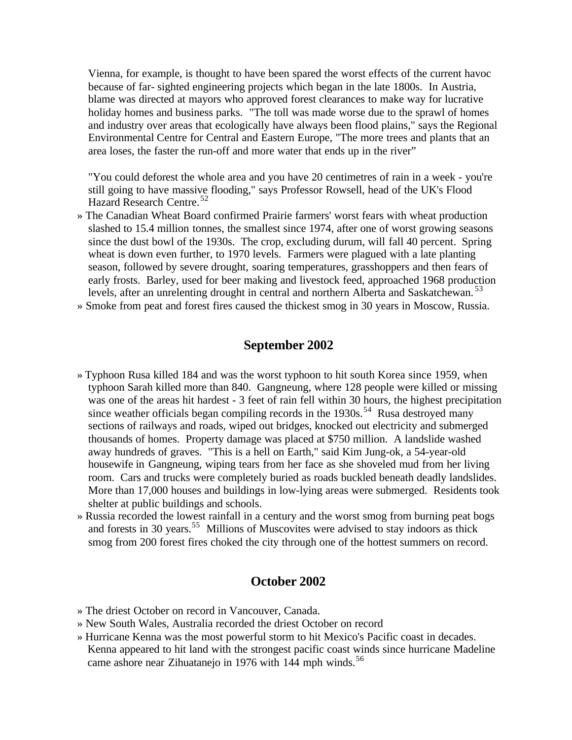Vienna, for example, is thought to have been spared the worst effects of the current havoc because of far- sighted engineering projects which began in the late 1800s. In Austria, blame was directed at mayors who approved forest clearances to make way for lucrative holiday homes and business parks. "The toll was made worse due to the sprawl of homes and industry over areas that ecologically have always been flood plains," says the Regional Environmental Centre for Central and Eastern Europe, "The more trees and plants that an area loses, the faster the run-off and more water that ends up in the river"

"You could deforest the whole area and you have 20 centimetres of rain in a week - you're still going to have massive flooding," says Professor Rowsell, head of the UK's Flood Hazard Research Centre.<sup>52</sup>

- » The Canadian Wheat Board confirmed Prairie farmers' worst fears with wheat production slashed to 15.4 million tonnes, the smallest since 1974, after one of worst growing seasons since the dust bowl of the 1930s. The crop, excluding durum, will fall 40 percent. Spring wheat is down even further, to 1970 levels. Farmers were plagued with a late planting season, followed by severe drought, soaring temperatures, grasshoppers and then fears of early frosts. Barley, used for beer making and livestock feed, approached 1968 production levels, after an unrelenting drought in central and northern Alberta and Saskatchewan.<sup>53</sup>
- » Smoke from peat and forest fires caused the thickest smog in 30 years in Moscow, Russia.

# **September 2002**

- » Typhoon Rusa killed 184 and was the worst typhoon to hit south Korea since 1959, when typhoon Sarah killed more than 840. Gangneung, where 128 people were killed or missing was one of the areas hit hardest - 3 feet of rain fell within 30 hours, the highest precipitation since weather officials began compiling records in the  $1930s$ .<sup>54</sup> Rusa destroyed many sections of railways and roads, wiped out bridges, knocked out electricity and submerged thousands of homes. Property damage was placed at \$750 million. A landslide washed away hundreds of graves. "This is a hell on Earth," said Kim Jung-ok, a 54-year-old housewife in Gangneung, wiping tears from her face as she shoveled mud from her living room. Cars and trucks were completely buried as roads buckled beneath deadly landslides. More than 17,000 houses and buildings in low-lying areas were submerged. Residents took shelter at public buildings and schools.
- » Russia recorded the lowest rainfall in a century and the worst smog from burning peat bogs and forests in 30 years.<sup>55</sup> Millions of Muscovites were advised to stay indoors as thick smog from 200 forest fires choked the city through one of the hottest summers on record.

#### **October 2002**

- » The driest October on record in Vancouver, Canada.
- » New South Wales, Australia recorded the driest October on record
- » Hurricane Kenna was the most powerful storm to hit Mexico's Pacific coast in decades. Kenna appeared to hit land with the strongest pacific coast winds since hurricane Madeline came ashore near Zihuatanejo in 1976 with 144 mph winds.<sup>56</sup>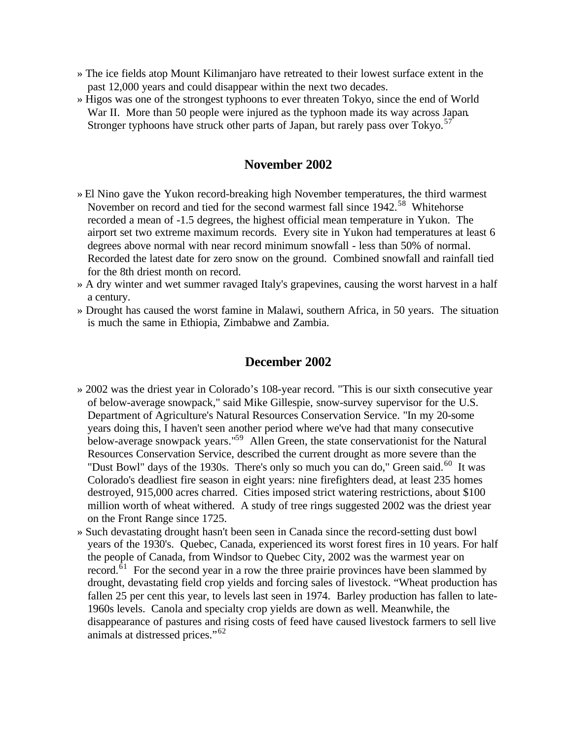- » The ice fields atop Mount Kilimanjaro have retreated to their lowest surface extent in the past 12,000 years and could disappear within the next two decades.
- » Higos was one of the strongest typhoons to ever threaten Tokyo, since the end of World War II. More than 50 people were injured as the typhoon made its way across Japan. Stronger typhoons have struck other parts of Japan, but rarely pass over  $Tokyo$ .<sup>57</sup>

#### **November 2002**

- » El Nino gave the Yukon record-breaking high November temperatures, the third warmest November on record and tied for the second warmest fall since 1942.<sup>58</sup> Whitehorse recorded a mean of -1.5 degrees, the highest official mean temperature in Yukon. The airport set two extreme maximum records. Every site in Yukon had temperatures at least 6 degrees above normal with near record minimum snowfall - less than 50% of normal. Recorded the latest date for zero snow on the ground. Combined snowfall and rainfall tied for the 8th driest month on record.
- » A dry winter and wet summer ravaged Italy's grapevines, causing the worst harvest in a half a century.
- » Drought has caused the worst famine in Malawi, southern Africa, in 50 years. The situation is much the same in Ethiopia, Zimbabwe and Zambia.

#### **December 2002**

- » 2002 was the driest year in Colorado's 108-year record. "This is our sixth consecutive year of below-average snowpack," said Mike Gillespie, snow-survey supervisor for the U.S. Department of Agriculture's Natural Resources Conservation Service. "In my 20-some years doing this, I haven't seen another period where we've had that many consecutive below-average snowpack years."<sup>59</sup> Allen Green, the state conservationist for the Natural Resources Conservation Service, described the current drought as more severe than the "Dust Bowl" days of the 1930s. There's only so much you can do," Green said.<sup>60</sup> It was Colorado's deadliest fire season in eight years: nine firefighters dead, at least 235 homes destroyed, 915,000 acres charred. Cities imposed strict watering restrictions, about \$100 million worth of wheat withered. A study of tree rings suggested 2002 was the driest year on the Front Range since 1725.
- » Such devastating drought hasn't been seen in Canada since the record-setting dust bowl years of the 1930's. Quebec, Canada, experienced its worst forest fires in 10 years. For half the people of Canada, from Windsor to Quebec City, 2002 was the warmest year on record. $\overline{61}$  For the second year in a row the three prairie provinces have been slammed by drought, devastating field crop yields and forcing sales of livestock. "Wheat production has fallen 25 per cent this year, to levels last seen in 1974. Barley production has fallen to late-1960s levels. Canola and specialty crop yields are down as well. Meanwhile, the disappearance of pastures and rising costs of feed have caused livestock farmers to sell live animals at distressed prices."<sup>62</sup>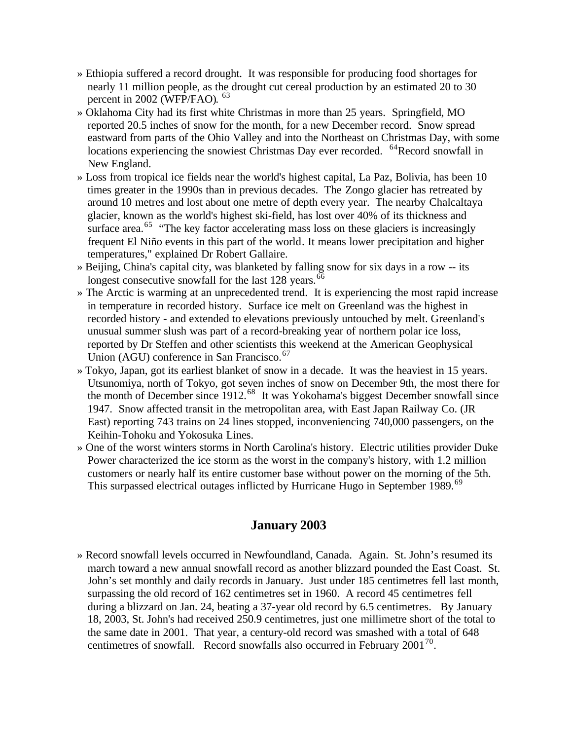- » Ethiopia suffered a record drought. It was responsible for producing food shortages for nearly 11 million people, as the drought cut cereal production by an estimated 20 to 30 percent in 2002 (WFP/FAO). <sup>63</sup>
- » Oklahoma City had its first white Christmas in more than 25 years. Springfield, MO reported 20.5 inches of snow for the month, for a new December record. Snow spread eastward from parts of the Ohio Valley and into the Northeast on Christmas Day, with some locations experiencing the snowiest Christmas Day ever recorded. <sup>64</sup>Record snowfall in New England.
- » Loss from tropical ice fields near the world's highest capital, La Paz, Bolivia, has been 10 times greater in the 1990s than in previous decades. The Zongo glacier has retreated by around 10 metres and lost about one metre of depth every year. The nearby Chalcaltaya glacier, known as the world's highest ski-field, has lost over 40% of its thickness and surface area.<sup>65</sup> "The key factor accelerating mass loss on these glaciers is increasingly frequent El Niño events in this part of the world. It means lower precipitation and higher temperatures," explained Dr Robert Gallaire.
- » Beijing, China's capital city, was blanketed by falling snow for six days in a row -- its longest consecutive snowfall for the last 128 years.<sup>66</sup>
- » The Arctic is warming at an unprecedented trend. It is experiencing the most rapid increase in temperature in recorded history. Surface ice melt on Greenland was the highest in recorded history - and extended to elevations previously untouched by melt. Greenland's unusual summer slush was part of a record-breaking year of northern polar ice loss, reported by Dr Steffen and other scientists this weekend at the American Geophysical Union (AGU) conference in San Francisco.<sup>67</sup>
- » Tokyo, Japan, got its earliest blanket of snow in a decade. It was the heaviest in 15 years. Utsunomiya, north of Tokyo, got seven inches of snow on December 9th, the most there for the month of December since 1912.<sup>68</sup> It was Yokohama's biggest December snowfall since 1947. Snow affected transit in the metropolitan area, with East Japan Railway Co. (JR East) reporting 743 trains on 24 lines stopped, inconveniencing 740,000 passengers, on the Keihin-Tohoku and Yokosuka Lines.
- » One of the worst winters storms in North Carolina's history. Electric utilities provider Duke Power characterized the ice storm as the worst in the company's history, with 1.2 million customers or nearly half its entire customer base without power on the morning of the 5th. This surpassed electrical outages inflicted by Hurricane Hugo in September 1989.<sup>69</sup>

# **January 2003**

» Record snowfall levels occurred in Newfoundland, Canada. Again. St. John's resumed its march toward a new annual snowfall record as another blizzard pounded the East Coast. St. John's set monthly and daily records in January. Just under 185 centimetres fell last month, surpassing the old record of 162 centimetres set in 1960. A record 45 centimetres fell during a blizzard on Jan. 24, beating a 37-year old record by 6.5 centimetres. By January 18, 2003, St. John's had received 250.9 centimetres, just one millimetre short of the total to the same date in 2001. That year, a century-old record was smashed with a total of 648 centimetres of snowfall. Record snowfalls also occurred in February 2001<sup>70</sup>.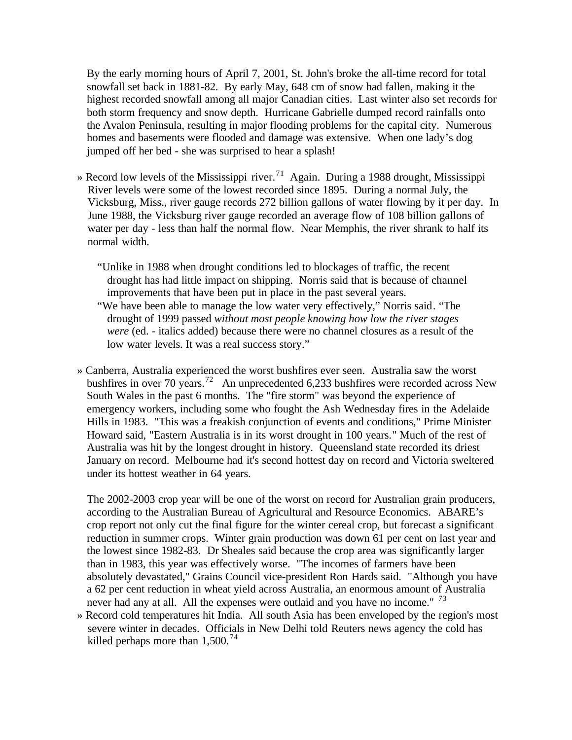By the early morning hours of April 7, 2001, St. John's broke the all-time record for total snowfall set back in 1881-82. By early May, 648 cm of snow had fallen, making it the highest recorded snowfall among all major Canadian cities. Last winter also set records for both storm frequency and snow depth. Hurricane Gabrielle dumped record rainfalls onto the Avalon Peninsula, resulting in major flooding problems for the capital city. Numerous homes and basements were flooded and damage was extensive. When one lady's dog jumped off her bed - she was surprised to hear a splash!

- » Record low levels of the Mississippi river.<sup>71</sup> Again. During a 1988 drought, Mississippi River levels were some of the lowest recorded since 1895. During a normal July, the Vicksburg, Miss., river gauge records 272 billion gallons of water flowing by it per day. In June 1988, the Vicksburg river gauge recorded an average flow of 108 billion gallons of water per day - less than half the normal flow. Near Memphis, the river shrank to half its normal width.
	- "Unlike in 1988 when drought conditions led to blockages of traffic, the recent drought has had little impact on shipping. Norris said that is because of channel improvements that have been put in place in the past several years.
	- "We have been able to manage the low water very effectively," Norris said. "The drought of 1999 passed *without most people knowing how low the river stages were* (ed. - italics added) because there were no channel closures as a result of the low water levels. It was a real success story."
- » Canberra, Australia experienced the worst bushfires ever seen. Australia saw the worst bushfires in over 70 years.<sup>72</sup> An unprecedented 6,233 bushfires were recorded across New South Wales in the past 6 months. The "fire storm" was beyond the experience of emergency workers, including some who fought the Ash Wednesday fires in the Adelaide Hills in 1983. "This was a freakish conjunction of events and conditions," Prime Minister Howard said, "Eastern Australia is in its worst drought in 100 years." Much of the rest of Australia was hit by the longest drought in history. Queensland state recorded its driest January on record. Melbourne had it's second hottest day on record and Victoria sweltered under its hottest weather in 64 years.

The 2002-2003 crop year will be one of the worst on record for Australian grain producers, according to the Australian Bureau of Agricultural and Resource Economics. ABARE's crop report not only cut the final figure for the winter cereal crop, but forecast a significant reduction in summer crops. Winter grain production was down 61 per cent on last year and the lowest since 1982-83. Dr Sheales said because the crop area was significantly larger than in 1983, this year was effectively worse. "The incomes of farmers have been absolutely devastated," Grains Council vice-president Ron Hards said. "Although you have a 62 per cent reduction in wheat yield across Australia, an enormous amount of Australia never had any at all. All the expenses were outlaid and you have no income." <sup>73</sup>

» Record cold temperatures hit India. All south Asia has been enveloped by the region's most severe winter in decades. Officials in New Delhi told Reuters news agency the cold has killed perhaps more than  $1,500^{74}$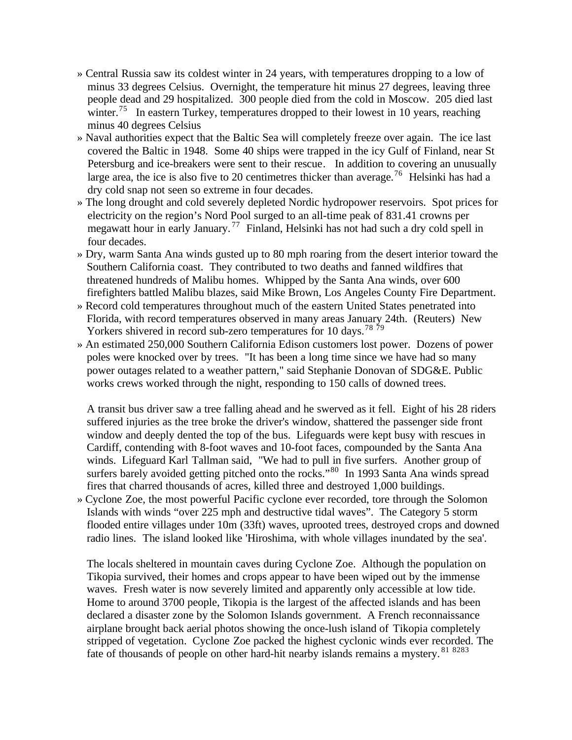- » Central Russia saw its coldest winter in 24 years, with temperatures dropping to a low of minus 33 degrees Celsius. Overnight, the temperature hit minus 27 degrees, leaving three people dead and 29 hospitalized. 300 people died from the cold in Moscow. 205 died last winter.<sup>75</sup> In eastern Turkey, temperatures dropped to their lowest in 10 years, reaching minus 40 degrees Celsius
- » Naval authorities expect that the Baltic Sea will completely freeze over again. The ice last covered the Baltic in 1948. Some 40 ships were trapped in the icy Gulf of Finland, near St Petersburg and ice-breakers were sent to their rescue. In addition to covering an unusually large area, the ice is also five to 20 centimetres thicker than average.<sup>76</sup> Helsinki has had a dry cold snap not seen so extreme in four decades.
- » The long drought and cold severely depleted Nordic hydropower reservoirs. Spot prices for electricity on the region's Nord Pool surged to an all-time peak of 831.41 crowns per megawatt hour in early January. <sup>77</sup> Finland, Helsinki has not had such a dry cold spell in four decades.
- » Dry, warm Santa Ana winds gusted up to 80 mph roaring from the desert interior toward the Southern California coast. They contributed to two deaths and fanned wildfires that threatened hundreds of Malibu homes. Whipped by the Santa Ana winds, over 600 firefighters battled Malibu blazes, said Mike Brown, Los Angeles County Fire Department.
- » Record cold temperatures throughout much of the eastern United States penetrated into Florida, with record temperatures observed in many areas January 24th. (Reuters) New Yorkers shivered in record sub-zero temperatures for 10 days.<sup>78 79</sup>
- » An estimated 250,000 Southern California Edison customers lost power. Dozens of power poles were knocked over by trees. "It has been a long time since we have had so many power outages related to a weather pattern," said Stephanie Donovan of SDG&E. Public works crews worked through the night, responding to 150 calls of downed trees.

A transit bus driver saw a tree falling ahead and he swerved as it fell. Eight of his 28 riders suffered injuries as the tree broke the driver's window, shattered the passenger side front window and deeply dented the top of the bus. Lifeguards were kept busy with rescues in Cardiff, contending with 8-foot waves and 10-foot faces, compounded by the Santa Ana winds. Lifeguard Karl Tallman said, "We had to pull in five surfers. Another group of surfers barely avoided getting pitched onto the rocks."<sup>80</sup> In 1993 Santa Ana winds spread fires that charred thousands of acres, killed three and destroyed 1,000 buildings.

» Cyclone Zoe, the most powerful Pacific cyclone ever recorded, tore through the Solomon Islands with winds "over 225 mph and destructive tidal waves". The Category 5 storm flooded entire villages under 10m (33ft) waves, uprooted trees, destroyed crops and downed radio lines. The island looked like 'Hiroshima, with whole villages inundated by the sea'.

The locals sheltered in mountain caves during Cyclone Zoe. Although the population on Tikopia survived, their homes and crops appear to have been wiped out by the immense waves. Fresh water is now severely limited and apparently only accessible at low tide. Home to around 3700 people, Tikopia is the largest of the affected islands and has been declared a disaster zone by the Solomon Islands government. A French reconnaissance airplane brought back aerial photos showing the once-lush island of Tikopia completely stripped of vegetation. Cyclone Zoe packed the highest cyclonic winds ever recorded. The fate of thousands of people on other hard-hit nearby islands remains a mystery. <sup>81</sup> <sup>8283</sup>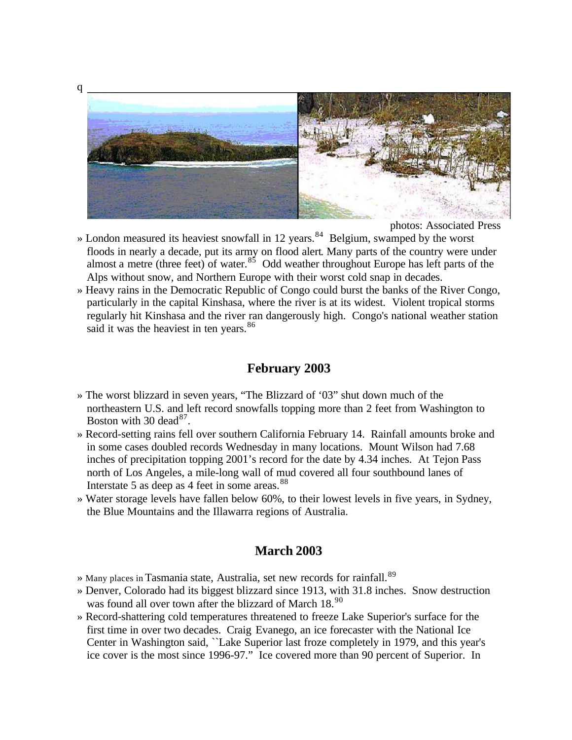

photos: Associated Press

- » London measured its heaviest snowfall in 12 years.<sup>84</sup> Belgium, swamped by the worst floods in nearly a decade, put its army on flood alert. Many parts of the country were under almost a metre (three feet) of water.<sup>85</sup> Odd weather throughout Europe has left parts of the Alps without snow, and Northern Europe with their worst cold snap in decades.
- » Heavy rains in the Democratic Republic of Congo could burst the banks of the River Congo, particularly in the capital Kinshasa, where the river is at its widest. Violent tropical storms regularly hit Kinshasa and the river ran dangerously high. Congo's national weather station said it was the heaviest in ten years.<sup>86</sup>

# **February 2003**

- » The worst blizzard in seven years, "The Blizzard of '03" shut down much of the northeastern U.S. and left record snowfalls topping more than 2 feet from Washington to Boston with 30 dead<sup>87</sup>.
- » Record-setting rains fell over southern California February 14. Rainfall amounts broke and in some cases doubled records Wednesday in many locations. Mount Wilson had 7.68 inches of precipitation topping 2001's record for the date by 4.34 inches. At Tejon Pass north of Los Angeles, a mile-long wall of mud covered all four southbound lanes of Interstate 5 as deep as 4 feet in some areas. $88$
- » Water storage levels have fallen below 60%, to their lowest levels in five years, in Sydney, the Blue Mountains and the Illawarra regions of Australia.

#### **March 2003**

- » Many places in Tasmania state, Australia, set new records for rainfall.<sup>89</sup>
- » Denver, Colorado had its biggest blizzard since 1913, with 31.8 inches. Snow destruction was found all over town after the blizzard of March 18.<sup>90</sup>
- » Record-shattering cold temperatures threatened to freeze Lake Superior's surface for the first time in over two decades. Craig Evanego, an ice forecaster with the National Ice Center in Washington said, ``Lake Superior last froze completely in 1979, and this year's ice cover is the most since 1996-97." Ice covered more than 90 percent of Superior. In

q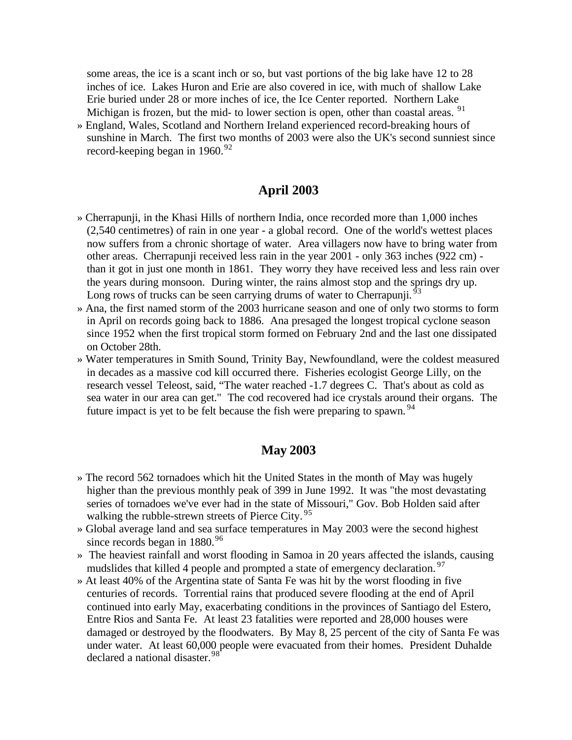some areas, the ice is a scant inch or so, but vast portions of the big lake have 12 to 28 inches of ice. Lakes Huron and Erie are also covered in ice, with much of shallow Lake Erie buried under 28 or more inches of ice, the Ice Center reported. Northern Lake Michigan is frozen, but the mid- to lower section is open, other than coastal areas. <sup>91</sup>

» England, Wales, Scotland and Northern Ireland experienced record-breaking hours of sunshine in March. The first two months of 2003 were also the UK's second sunniest since record-keeping began in  $1960.^{92}$ 

### **April 2003**

- » Cherrapunji, in the Khasi Hills of northern India, once recorded more than 1,000 inches (2,540 centimetres) of rain in one year - a global record. One of the world's wettest places now suffers from a chronic shortage of water. Area villagers now have to bring water from other areas. Cherrapunji received less rain in the year 2001 - only 363 inches (922 cm) than it got in just one month in 1861. They worry they have received less and less rain over the years during monsoon. During winter, the rains almost stop and the springs dry up. Long rows of trucks can be seen carrying drums of water to Cherrapunji.<sup>9</sup>
- » Ana, the first named storm of the 2003 hurricane season and one of only two storms to form in April on records going back to 1886. Ana presaged the longest tropical cyclone season since 1952 when the first tropical storm formed on February 2nd and the last one dissipated on October 28th.
- » Water temperatures in Smith Sound, Trinity Bay, Newfoundland, were the coldest measured in decades as a massive cod kill occurred there. Fisheries ecologist George Lilly, on the research vessel Teleost, said, "The water reached -1.7 degrees C. That's about as cold as sea water in our area can get." The cod recovered had ice crystals around their organs. The future impact is yet to be felt because the fish were preparing to spawn.<sup>94</sup>

#### **May 2003**

- » The record 562 tornadoes which hit the United States in the month of May was hugely higher than the previous monthly peak of 399 in June 1992. It was "the most devastating series of tornadoes we've ever had in the state of Missouri," Gov. Bob Holden said after walking the rubble-strewn streets of Pierce City.<sup>95</sup>
- » Global average land and sea surface temperatures in May 2003 were the second highest since records began in  $1880.^{96}$
- » The heaviest rainfall and worst flooding in Samoa in 20 years affected the islands, causing mudslides that killed 4 people and prompted a state of emergency declaration.<sup>97</sup>
- » At least 40% of the Argentina state of Santa Fe was hit by the worst flooding in five centuries of records. Torrential rains that produced severe flooding at the end of April continued into early May, exacerbating conditions in the provinces of Santiago del Estero, Entre Rios and Santa Fe. At least 23 fatalities were reported and 28,000 houses were damaged or destroyed by the floodwaters. By May 8, 25 percent of the city of Santa Fe was under water. At least 60,000 people were evacuated from their homes. President Duhalde declared a national disaster.<sup>98</sup>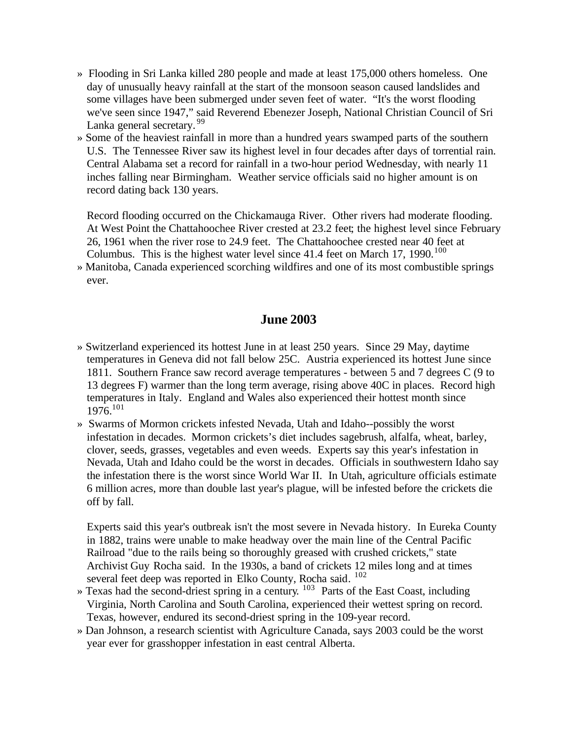- » Flooding in Sri Lanka killed 280 people and made at least 175,000 others homeless. One day of unusually heavy rainfall at the start of the monsoon season caused landslides and some villages have been submerged under seven feet of water. "It's the worst flooding we've seen since 1947," said Reverend Ebenezer Joseph, National Christian Council of Sri Lanka general secretary. <sup>99</sup>
- » Some of the heaviest rainfall in more than a hundred years swamped parts of the southern U.S. The Tennessee River saw its highest level in four decades after days of torrential rain. Central Alabama set a record for rainfall in a two-hour period Wednesday, with nearly 11 inches falling near Birmingham. Weather service officials said no higher amount is on record dating back 130 years.

Record flooding occurred on the Chickamauga River. Other rivers had moderate flooding. At West Point the Chattahoochee River crested at 23.2 feet; the highest level since February 26, 1961 when the river rose to 24.9 feet. The Chattahoochee crested near 40 feet at Columbus. This is the highest water level since  $41.4$  feet on March 17, 1990.<sup>100</sup>

» Manitoba, Canada experienced scorching wildfires and one of its most combustible springs ever.

# **June 2003**

- » Switzerland experienced its hottest June in at least 250 years. Since 29 May, daytime temperatures in Geneva did not fall below 25C. Austria experienced its hottest June since 1811. Southern France saw record average temperatures - between 5 and 7 degrees C (9 to 13 degrees F) warmer than the long term average, rising above 40C in places. Record high temperatures in Italy. England and Wales also experienced their hottest month since  $1976^{101}$
- » Swarms of Mormon crickets infested Nevada, Utah and Idaho--possibly the worst infestation in decades. Mormon crickets's diet includes sagebrush, alfalfa, wheat, barley, clover, seeds, grasses, vegetables and even weeds. Experts say this year's infestation in Nevada, Utah and Idaho could be the worst in decades. Officials in southwestern Idaho say the infestation there is the worst since World War II. In Utah, agriculture officials estimate 6 million acres, more than double last year's plague, will be infested before the crickets die off by fall.

Experts said this year's outbreak isn't the most severe in Nevada history. In Eureka County in 1882, trains were unable to make headway over the main line of the Central Pacific Railroad "due to the rails being so thoroughly greased with crushed crickets," state Archivist Guy Rocha said. In the 1930s, a band of crickets 12 miles long and at times several feet deep was reported in Elko County, Rocha said. <sup>102</sup>

- » Texas had the second-driest spring in a century. <sup>103</sup> Parts of the East Coast, including Virginia, North Carolina and South Carolina, experienced their wettest spring on record. Texas, however, endured its second-driest spring in the 109-year record.
- » Dan Johnson, a research scientist with Agriculture Canada, says 2003 could be the worst year ever for grasshopper infestation in east central Alberta.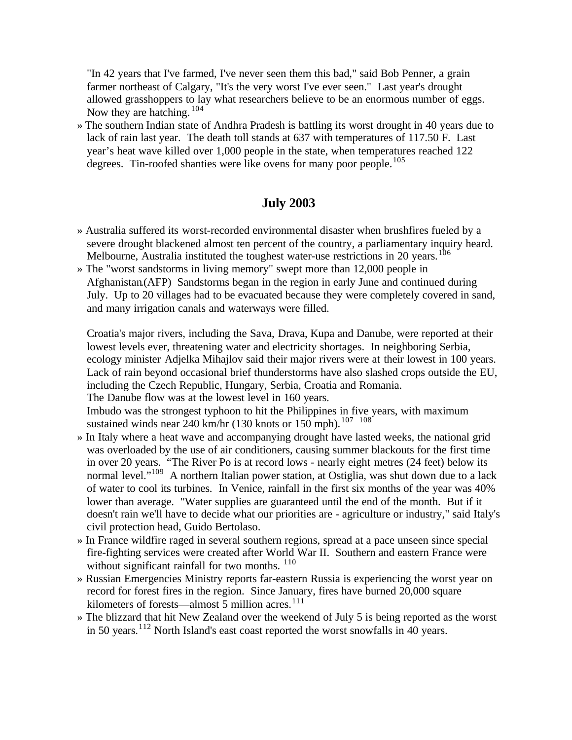"In 42 years that I've farmed, I've never seen them this bad," said Bob Penner, a grain farmer northeast of Calgary, "It's the very worst I've ever seen." Last year's drought allowed grasshoppers to lay what researchers believe to be an enormous number of eggs. Now they are hatching.  $104$ 

» The southern Indian state of Andhra Pradesh is battling its worst drought in 40 years due to lack of rain last year. The death toll stands at 637 with temperatures of 117.50 F. Last year's heat wave killed over 1,000 people in the state, when temperatures reached 122 degrees. Tin-roofed shanties were like ovens for many poor people.<sup>105</sup>

# **July 2003**

- » Australia suffered its worst-recorded environmental disaster when brushfires fueled by a severe drought blackened almost ten percent of the country, a parliamentary inquiry heard. Melbourne, Australia instituted the toughest water-use restrictions in 20 years.<sup>106</sup>
- » The "worst sandstorms in living memory" swept more than 12,000 people in Afghanistan.(AFP) Sandstorms began in the region in early June and continued during July. Up to 20 villages had to be evacuated because they were completely covered in sand, and many irrigation canals and waterways were filled.

Croatia's major rivers, including the Sava, Drava, Kupa and Danube, were reported at their lowest levels ever, threatening water and electricity shortages. In neighboring Serbia, ecology minister Adjelka Mihajlov said their major rivers were at their lowest in 100 years. Lack of rain beyond occasional brief thunderstorms have also slashed crops outside the EU, including the Czech Republic, Hungary, Serbia, Croatia and Romania. The Danube flow was at the lowest level in 160 years.

Imbudo was the strongest typhoon to hit the Philippines in five years, with maximum sustained winds near  $240$  km/hr (130 knots or  $150$  mph).<sup>107</sup> <sup>108</sup>

- » In Italy where a heat wave and accompanying drought have lasted weeks, the national grid was overloaded by the use of air conditioners, causing summer blackouts for the first time in over 20 years. "The River Po is at record lows - nearly eight metres (24 feet) below its normal level."<sup>109</sup> A northern Italian power station, at Ostiglia, was shut down due to a lack of water to cool its turbines. In Venice, rainfall in the first six months of the year was 40% lower than average. "Water supplies are guaranteed until the end of the month. But if it doesn't rain we'll have to decide what our priorities are - agriculture or industry," said Italy's civil protection head, Guido Bertolaso.
- » In France wildfire raged in several southern regions, spread at a pace unseen since special fire-fighting services were created after World War II. Southern and eastern France were without significant rainfall for two months. <sup>110</sup>
- » Russian Emergencies Ministry reports far-eastern Russia is experiencing the worst year on record for forest fires in the region. Since January, fires have burned 20,000 square kilometers of forests—almost  $\overline{5}$  million acres.<sup>111</sup>
- » The blizzard that hit New Zealand over the weekend of July 5 is being reported as the worst in 50 years.<sup>112</sup> North Island's east coast reported the worst snowfalls in 40 years.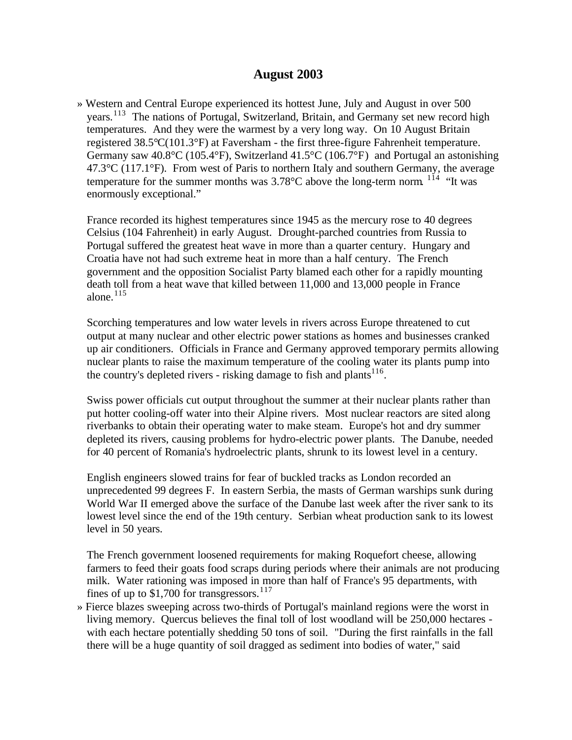### **August 2003**

» Western and Central Europe experienced its hottest June, July and August in over 500 years.<sup>113</sup> The nations of Portugal, Switzerland, Britain, and Germany set new record high temperatures. And they were the warmest by a very long way. On 10 August Britain registered 38.5°C(101.3°F) at Faversham - the first three-figure Fahrenheit temperature. Germany saw 40.8°C (105.4°F), Switzerland 41.5°C (106.7°F) and Portugal an astonishing  $47.3^{\circ}$ C (117.1 $^{\circ}$ F). From west of Paris to northern Italy and southern Germany, the average temperature for the summer months was  $3.78^{\circ}$ C above the long-term norm. <sup>114</sup> "It was enormously exceptional."

France recorded its highest temperatures since 1945 as the mercury rose to 40 degrees Celsius (104 Fahrenheit) in early August. Drought-parched countries from Russia to Portugal suffered the greatest heat wave in more than a quarter century. Hungary and Croatia have not had such extreme heat in more than a half century. The French government and the opposition Socialist Party blamed each other for a rapidly mounting death toll from a heat wave that killed between 11,000 and 13,000 people in France alone. $115$ 

Scorching temperatures and low water levels in rivers across Europe threatened to cut output at many nuclear and other electric power stations as homes and businesses cranked up air conditioners. Officials in France and Germany approved temporary permits allowing nuclear plants to raise the maximum temperature of the cooling water its plants pump into the country's depleted rivers - risking damage to fish and plants<sup>116</sup>.

Swiss power officials cut output throughout the summer at their nuclear plants rather than put hotter cooling-off water into their Alpine rivers. Most nuclear reactors are sited along riverbanks to obtain their operating water to make steam. Europe's hot and dry summer depleted its rivers, causing problems for hydro-electric power plants. The Danube, needed for 40 percent of Romania's hydroelectric plants, shrunk to its lowest level in a century.

English engineers slowed trains for fear of buckled tracks as London recorded an unprecedented 99 degrees F. In eastern Serbia, the masts of German warships sunk during World War II emerged above the surface of the Danube last week after the river sank to its lowest level since the end of the 19th century. Serbian wheat production sank to its lowest level in 50 years.

The French government loosened requirements for making Roquefort cheese, allowing farmers to feed their goats food scraps during periods where their animals are not producing milk. Water rationing was imposed in more than half of France's 95 departments, with fines of up to \$1,700 for transgressors.<sup>117</sup>

» Fierce blazes sweeping across two-thirds of Portugal's mainland regions were the worst in living memory. Quercus believes the final toll of lost woodland will be 250,000 hectares with each hectare potentially shedding 50 tons of soil. "During the first rainfalls in the fall there will be a huge quantity of soil dragged as sediment into bodies of water," said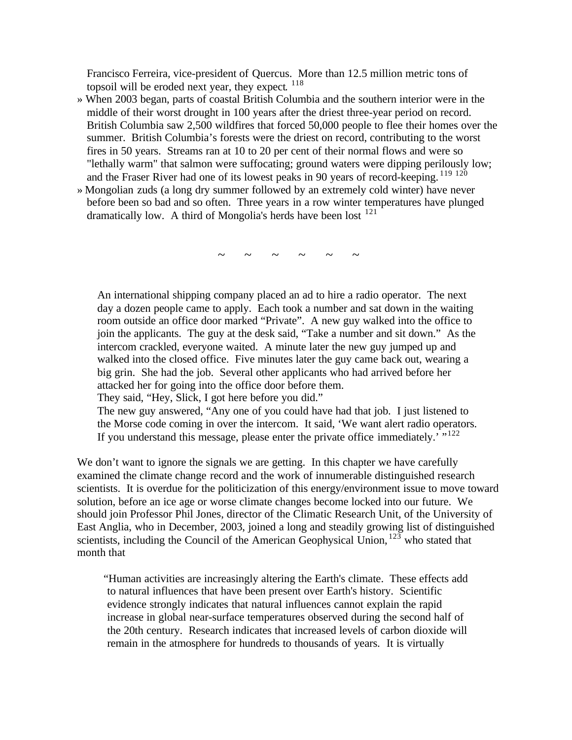Francisco Ferreira, vice-president of Quercus. More than 12.5 million metric tons of topsoil will be eroded next year, they expect. <sup>118</sup>

- » When 2003 began, parts of coastal British Columbia and the southern interior were in the middle of their worst drought in 100 years after the driest three-year period on record. British Columbia saw 2,500 wildfires that forced 50,000 people to flee their homes over the summer. British Columbia's forests were the driest on record, contributing to the worst fires in 50 years. Streams ran at 10 to 20 per cent of their normal flows and were so "lethally warm" that salmon were suffocating; ground waters were dipping perilously low; and the Fraser River had one of its lowest peaks in 90 years of record-keeping. <sup>119 120</sup>
- » Mongolian zuds (a long dry summer followed by an extremely cold winter) have never before been so bad and so often. Three years in a row winter temperatures have plunged dramatically low. A third of Mongolia's herds have been lost <sup>121</sup>

 $\sim$   $\sim$   $\sim$   $\sim$   $\sim$   $\sim$ 

An international shipping company placed an ad to hire a radio operator. The next day a dozen people came to apply. Each took a number and sat down in the waiting room outside an office door marked "Private". A new guy walked into the office to join the applicants. The guy at the desk said, "Take a number and sit down." As the intercom crackled, everyone waited. A minute later the new guy jumped up and walked into the closed office. Five minutes later the guy came back out, wearing a big grin. She had the job. Several other applicants who had arrived before her attacked her for going into the office door before them.

They said, "Hey, Slick, I got here before you did."

The new guy answered, "Any one of you could have had that job. I just listened to the Morse code coming in over the intercom. It said, 'We want alert radio operators. If you understand this message, please enter the private office immediately.<sup> $\cdot$ </sup>,<sup>122</sup>

We don't want to ignore the signals we are getting. In this chapter we have carefully examined the climate change record and the work of innumerable distinguished research scientists. It is overdue for the politicization of this energy/environment issue to move toward solution, before an ice age or worse climate changes become locked into our future. We should join Professor Phil Jones, director of the Climatic Research Unit, of the University of East Anglia, who in December, 2003, joined a long and steadily growing list of distinguished scientists, including the Council of the American Geophysical Union,  $123$  who stated that month that

"Human activities are increasingly altering the Earth's climate. These effects add to natural influences that have been present over Earth's history. Scientific evidence strongly indicates that natural influences cannot explain the rapid increase in global near-surface temperatures observed during the second half of the 20th century. Research indicates that increased levels of carbon dioxide will remain in the atmosphere for hundreds to thousands of years. It is virtually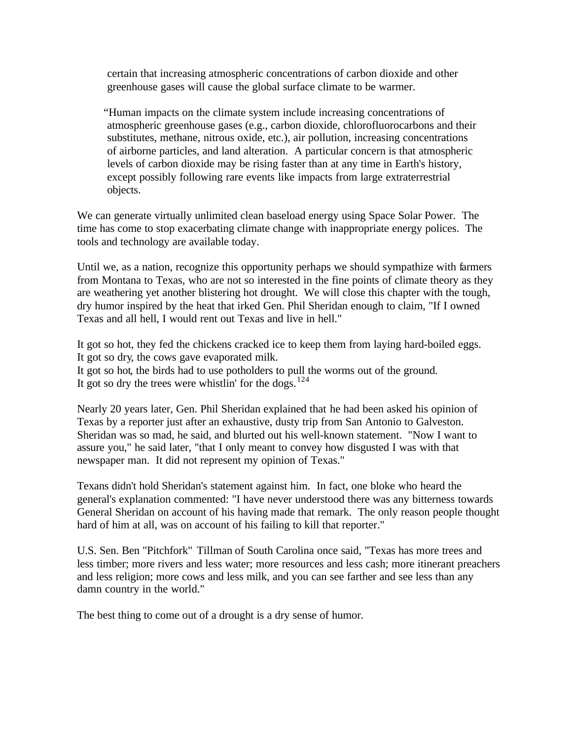certain that increasing atmospheric concentrations of carbon dioxide and other greenhouse gases will cause the global surface climate to be warmer.

"Human impacts on the climate system include increasing concentrations of atmospheric greenhouse gases (e.g., carbon dioxide, chlorofluorocarbons and their substitutes, methane, nitrous oxide, etc.), air pollution, increasing concentrations of airborne particles, and land alteration. A particular concern is that atmospheric levels of carbon dioxide may be rising faster than at any time in Earth's history, except possibly following rare events like impacts from large extraterrestrial objects.

We can generate virtually unlimited clean baseload energy using Space Solar Power. The time has come to stop exacerbating climate change with inappropriate energy polices. The tools and technology are available today.

Until we, as a nation, recognize this opportunity perhaps we should sympathize with farmers from Montana to Texas, who are not so interested in the fine points of climate theory as they are weathering yet another blistering hot drought. We will close this chapter with the tough, dry humor inspired by the heat that irked Gen. Phil Sheridan enough to claim, "If I owned Texas and all hell, I would rent out Texas and live in hell."

It got so hot, they fed the chickens cracked ice to keep them from laying hard-boiled eggs. It got so dry, the cows gave evaporated milk.

It got so hot, the birds had to use potholders to pull the worms out of the ground. It got so dry the trees were whistlin' for the dogs.<sup>124</sup>

Nearly 20 years later, Gen. Phil Sheridan explained that he had been asked his opinion of Texas by a reporter just after an exhaustive, dusty trip from San Antonio to Galveston. Sheridan was so mad, he said, and blurted out his well-known statement. "Now I want to assure you," he said later, "that I only meant to convey how disgusted I was with that newspaper man. It did not represent my opinion of Texas."

Texans didn't hold Sheridan's statement against him. In fact, one bloke who heard the general's explanation commented: "I have never understood there was any bitterness towards General Sheridan on account of his having made that remark. The only reason people thought hard of him at all, was on account of his failing to kill that reporter."

U.S. Sen. Ben "Pitchfork" Tillman of South Carolina once said, "Texas has more trees and less timber; more rivers and less water; more resources and less cash; more itinerant preachers and less religion; more cows and less milk, and you can see farther and see less than any damn country in the world."

The best thing to come out of a drought is a dry sense of humor.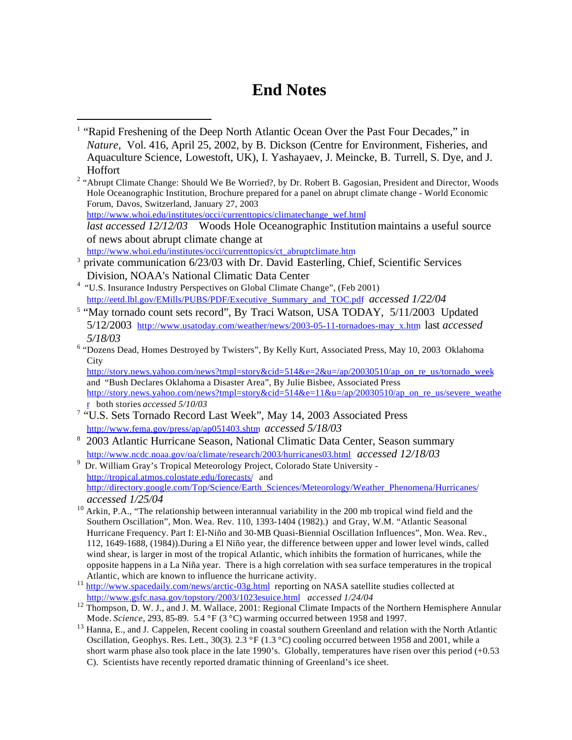# **End Notes**

http://www.whoi.edu/institutes/occi/currenttopics/ct\_abruptclimate.htm

 $\overline{a}$ 

- <sup>3</sup> private communication 6/23/03 with Dr. David Easterling, Chief, Scientific Services Division, NOAA's National Climatic Data Center
- <sup>4</sup> "U.S. Insurance Industry Perspectives on Global Climate Change", (Feb 2001) http://eetd.lbl.gov/EMills/PUBS/PDF/Executive\_Summary\_and\_TOC.pdf *accessed 1/22/04*
- <sup>5</sup> "May tornado count sets record", By Traci Watson, USA TODAY, 5/11/2003 Updated 5/12/2003 http://www.usatoday.com/weather/news/2003-05-11-tornadoes-may\_x.htm last *accessed 5/18/03*
- <sup>6</sup> "Dozens Dead, Homes Destroyed by Twisters", By Kelly Kurt, Associated Press, May 10, 2003 Oklahoma **City**

http://story.news.yahoo.com/news?tmpl=story&cid=514&e=2&u=/ap/20030510/ap\_on\_re\_us/tornado\_week and "Bush Declares Oklahoma a Disaster Area", By Julie Bisbee, Associated Press http://story.news.yahoo.com/news?tmpl=story&cid=514&e=11&u=/ap/20030510/ap\_on\_re\_us/severe\_weathe r both stories *accessed 5/10/03*

- <sup>7</sup> "U.S. Sets Tornado Record Last Week", May 14, 2003 Associated Press http://www.fema.gov/press/ap/ap051403.shtm *accessed 5/18/03*
- <sup>8</sup> 2003 Atlantic Hurricane Season, National Climatic Data Center, Season summary http://www.ncdc.noaa.gov/oa/climate/research/2003/hurricanes03.html *accessed 12/18/03*
- 9 Dr. William Gray's Tropical Meteorology Project, Colorado State University http://tropical.atmos.colostate.edu/forecasts/ and http://directory.google.com/Top/Science/Earth\_Sciences/Meteorology/Weather\_Phenomena/Hurricanes/ *accessed 1/25/04*
- <sup>10</sup> Arkin, P.A., "The relationship between interannual variability in the 200 mb tropical wind field and the Southern Oscillation", Mon. Wea. Rev. 110, 1393-1404 (1982).) and Gray, W.M. "Atlantic Seasonal Hurricane Frequency. Part I: El-Niño and 30-MB Quasi-Biennial Oscillation Influences", Mon. Wea. Rev., 112, 1649-1688, (1984)).During a El Niño year, the difference between upper and lower level winds, called wind shear, is larger in most of the tropical Atlantic, which inhibits the formation of hurricanes, while the opposite happens in a La Niña year. There is a high correlation with sea surface temperatures in the tropical Atlantic, which are known to influence the hurricane activity.
- <sup>11</sup> http://www.spacedaily.com/news/arctic-03g.html reporting on NASA satellite studies collected at http://www.gsfc.nasa.gov/topstory/2003/1023esuice.html *accessed 1/24/04*
- <sup>12</sup> Thompson, D. W. J., and J. M. Wallace, 2001: Regional Climate Impacts of the Northern Hemisphere Annular Mode. *Science*, 293, 85-89. 5.4 °F (3 °C) warming occurred between 1958 and 1997.
- <sup>13</sup> Hanna, E., and J. Cappelen, Recent cooling in coastal southern Greenland and relation with the North Atlantic Oscillation, Geophys. Res. Lett., 30(3). 2.3 °F (1.3 °C) cooling occurred between 1958 and 2001, while a short warm phase also took place in the late 1990's. Globally, temperatures have risen over this period (+0.53 C). Scientists have recently reported dramatic thinning of Greenland's ice sheet.

<sup>&</sup>lt;sup>1</sup> "Rapid Freshening of the Deep North Atlantic Ocean Over the Past Four Decades," in *Nature*, Vol. 416, April 25, 2002, by B. Dickson (Centre for Environment, Fisheries, and Aquaculture Science, Lowestoft, UK), I. Yashayaev, J. Meincke, B. Turrell, S. Dye, and J. Hoffort

<sup>&</sup>lt;sup>2</sup> "Abrupt Climate Change: Should We Be Worried?, by Dr. Robert B. Gagosian, President and Director, Woods Hole Oceanographic Institution, Brochure prepared for a panel on abrupt climate change - World Economic Forum, Davos, Switzerland, January 27, 2003 http://www.whoi.edu/institutes/occi/currenttopics/climatechange\_wef.html *last accessed 12/12/03* Woods Hole Oceanographic Institution maintains a useful source of news about abrupt climate change at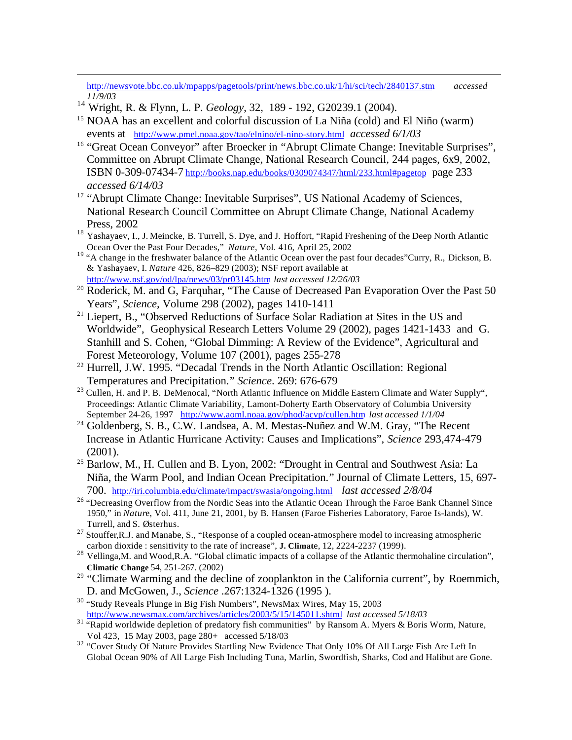http://newsvote.bbc.co.uk/mpapps/pagetools/print/news.bbc.co.uk/1/hi/sci/tech/2840137.stm *accessed 11/9/03*

<sup>14</sup> Wright, R. & Flynn, L. P. *Geology*, 32, 189 - 192, G20239.1 (2004).

 $\overline{a}$ 

- <sup>15</sup> NOAA has an excellent and colorful discussion of La Niña (cold) and El Niño (warm) events at http://www.pmel.noaa.gov/tao/elnino/el-nino-story.html *accessed 6/1/03*
- <sup>16</sup> "Great Ocean Conveyor" after Broecker in "Abrupt Climate Change: Inevitable Surprises", Committee on Abrupt Climate Change, National Research Council, 244 pages, 6x9, 2002, ISBN 0-309-07434-7 http://books.nap.edu/books/0309074347/html/233.html#pagetop page 233 *accessed 6/14/03*
- <sup>17</sup> "Abrupt Climate Change: Inevitable Surprises", US National Academy of Sciences, National Research Council Committee on Abrupt Climate Change, National Academy Press, 2002
- <sup>18</sup> Yashayaev, I., J. Meincke, B. Turrell, S. Dye, and J. Hoffort, "Rapid Freshening of the Deep North Atlantic Ocean Over the Past Four Decades," *Nature*, Vol. 416, April 25, 2002
- <sup>19</sup> "A change in the freshwater balance of the Atlantic Ocean over the past four decades"Curry, R., Dickson, B. & Yashayaev, I. *Nature* 426, 826–829 (2003); NSF report available at http://www.nsf.gov/od/lpa/news/03/pr03145.htm *last accessed 12/26/03*
- <sup>20</sup> Roderick, M. and G, Farquhar, "The Cause of Decreased Pan Evaporation Over the Past 50 Years", *Science,* Volume 298 (2002), pages 1410-1411
- <sup>21</sup> Liepert, B., "Observed Reductions of Surface Solar Radiation at Sites in the US and Worldwide", Geophysical Research Letters Volume 29 (2002), pages 1421-1433 and G. Stanhill and S. Cohen, "Global Dimming: A Review of the Evidence", Agricultural and Forest Meteorology, Volume 107 (2001), pages 255-278
- <sup>22</sup> Hurrell, J.W. 1995. "Decadal Trends in the North Atlantic Oscillation: Regional Temperatures and Precipitation." *Science*. 269: 676-679
- <sup>23</sup> Cullen, H. and P. B. DeMenocal, "North Atlantic Influence on Middle Eastern Climate and Water Supply", Proceedings: Atlantic Climate Variability, Lamont-Doherty Earth Observatory of Columbia University September 24-26, 1997 http://www.aoml.noaa.gov/phod/acvp/cullen.htm *last accessed 1/1/04*
- <sup>24</sup> Goldenberg, S. B., C.W. Landsea, A. M. Mestas-Nuñez and W.M. Gray, "The Recent Increase in Atlantic Hurricane Activity: Causes and Implications", *Science* 293,474-479 (2001).
- <sup>25</sup> Barlow, M., H. Cullen and B. Lyon, 2002: "Drought in Central and Southwest Asia: La Niña, the Warm Pool, and Indian Ocean Precipitation." Journal of Climate Letters, 15, 697- 700. http://iri.columbia.edu/climate/impact/swasia/ongoing.html *last accessed 2/8/04*
- <sup>26</sup> "Decreasing Overflow from the Nordic Seas into the Atlantic Ocean Through the Faroe Bank Channel Since 1950," in *Natur*e, Vol. 411, June 21, 2001, by B. Hansen (Faroe Fisheries Laboratory, Faroe Is-lands), W. Turrell, and S. Østerhus.
- <sup>27</sup> Stouffer, R.J. and Manabe, S., "Response of a coupled ocean-atmosphere model to increasing atmospheric carbon dioxide : sensitivity to the rate of increase", **J. Climat**e, 12, 2224-2237 (1999).
- <sup>28</sup> Vellinga,M. and Wood,R.A. "Global climatic impacts of a collapse of the Atlantic thermohaline circulation", **Climatic Change** 54, 251-267. (2002)
- <sup>29</sup> "Climate Warming and the decline of zooplankton in the California current", by Roemmich, D. and McGowen, J., *Science* .267:1324-1326 (1995 ).
- <sup>30</sup> "Study Reveals Plunge in Big Fish Numbers", NewsMax Wires, May 15, 2003 http://www.newsmax.com/archives/articles/2003/5/15/145011.shtml *last accessed 5/18/03*
- <sup>31</sup> "Rapid worldwide depletion of predatory fish communities" by Ransom A. Myers & Boris Worm, Nature, Vol 423, 15 May 2003, page 280+ accessed 5/18/03
- <sup>32</sup> "Cover Study Of Nature Provides Startling New Evidence That Only 10% Of All Large Fish Are Left In Global Ocean 90% of All Large Fish Including Tuna, Marlin, Swordfish, Sharks, Cod and Halibut are Gone.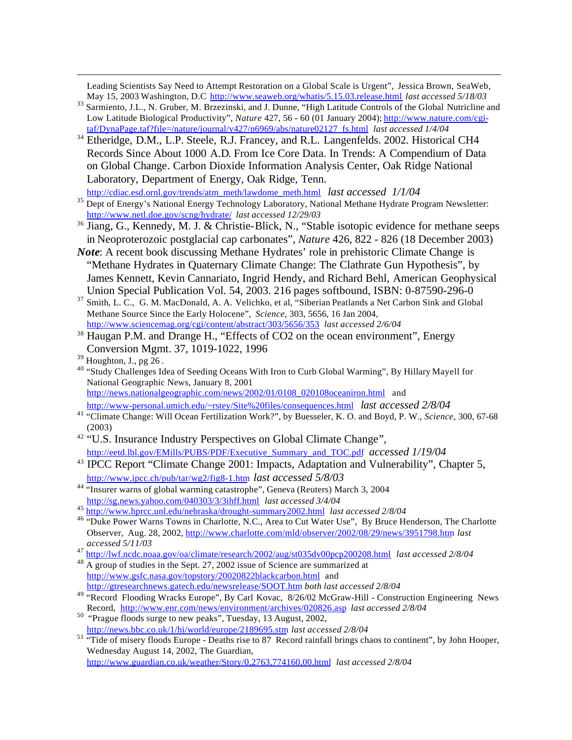Leading Scientists Say Need to Attempt Restoration on a Global Scale is Urgent", Jessica Brown, SeaWeb, May 15, 2003 Washington, D.C http://www.seaweb.org/whatis/5.15.03.release.html *last accessed 5/18/03*

- <sup>33</sup> Sarmiento, J.L., N. Gruber, M. Brzezinski, and J. Dunne, "High Latitude Controls of the Global Nutricline and Low Latitude Biological Productivity", *Nature* 427, 56 - 60 (01 January 2004); http://www.nature.com/cgitaf/DynaPage.taf?file=/nature/journal/v427/n6969/abs/nature02127\_fs.html *last accessed 1/4/04*
- <sup>34</sup> Etheridge, D.M., L.P. Steele, R.J. Francey, and R.L. Langenfelds. 2002. Historical CH4 Records Since About 1000 A.D. From Ice Core Data. In Trends: A Compendium of Data on Global Change. Carbon Dioxide Information Analysis Center, Oak Ridge National Laboratory, Department of Energy, Oak Ridge, Tenn.

http://cdiac.esd.ornl.gov/trends/atm\_meth/lawdome\_meth.html *last accessed 1/1/04*

- <sup>35</sup> Dept of Energy's National Energy Technology Laboratory, National Methane Hydrate Program Newsletter: http://www.netl.doe.gov/scng/hydrate/ *last accessed 12/29/03*
- <sup>36</sup> Jiang, G., Kennedy, M. J. & Christie-Blick, N., "Stable isotopic evidence for methane seeps in Neoproterozoic postglacial cap carbonates", *Nature* 426, 822 - 826 (18 December 2003)
- *Note*: A recent book discussing Methane Hydrates' role in prehistoric Climate Change is "Methane Hydrates in Quaternary Climate Change: The Clathrate Gun Hypothesis", by James Kennett, Kevin Cannariato, Ingrid Hendy, and Richard Behl, American Geophysical Union Special Publication Vol. 54, 2003. 216 pages softbound, ISBN: 0-87590-296-0
- <sup>37</sup> Smith, L. C., G. M. MacDonald, A. A. Velichko, et al, "Siberian Peatlands a Net Carbon Sink and Global Methane Source Since the Early Holocene", *Science,* 303, 5656, 16 Jan 2004, http://www.sciencemag.org/cgi/content/abstract/303/5656/353 *last accessed 2/6/04*
- <sup>38</sup> Haugan P.M. and Drange H., "Effects of CO2 on the ocean environment", Energy Conversion Mgmt. 37, 1019-1022, 1996

 $\overline{a}$ 

<sup>40</sup> "Study Challenges Idea of Seeding Oceans With Iron to Curb Global Warming", By Hillary Mayell for National Geographic News, January 8, 2001 http://news.nationalgeographic.com/news/2002/01/0108\_020108oceaniron.html and

http://www-personal.umich.edu/~rstey/Site%20files/consequences.html *last accessed 2/8/04* <sup>41</sup> "Climate Change: Will Ocean Fertilization Work?", by Buesseler, K. O. and Boyd, P. W., *Science,* 300, 67-68

- (2003)
- <sup>42</sup> "U.S. Insurance Industry Perspectives on Global Climate Change", http://eetd.lbl.gov/EMills/PUBS/PDF/Executive\_Summary\_and\_TOC.pdf *accessed 1/19/04*
- <sup>43</sup> IPCC Report "Climate Change 2001: Impacts, Adaptation and Vulnerability", Chapter 5, http://www.ipcc.ch/pub/tar/wg2/fig8-1.htm *last accessed 5/8/03*
- <sup>44</sup> "Insurer warns of global warming catastrophe", Geneva (Reuters) March 3, 2004 http://sg.news.yahoo.com/040303/3/3ihff.html *last accessed 3/4/04*
- <sup>45</sup> http://www.hprcc.unl.edu/nebraska/drought-summary2002.html *last accessed 2/8/04*
- <sup>46</sup> "Duke Power Warns Towns in Charlotte, N.C., Area to Cut Water Use", By Bruce Henderson, The Charlotte Observer, Aug. 28, 2002, http://www.charlotte.com/mld/observer/2002/08/29/news/3951798.htm *last accessed 5/11/03*
- <sup>47</sup> http://lwf.ncdc.noaa.gov/oa/climate/research/2002/aug/st035dv00pcp200208.html *last accessed 2/8/04*
- <sup>48</sup> A group of studies in the Sept. 27, 2002 issue of Science are summarized at http://www.gsfc.nasa.gov/topstory/20020822blackcarbon.html and http://gtresearchnews.gatech.edu/newsrelease/SOOT.htm *both last accessed 2/8/04*
- <sup>49</sup> "Record Flooding Wracks Europe", By Carl Kovac, 8/26/02 McGraw-Hill Construction Engineering News Record, http://www.enr.com/news/environment/archives/020826.asp *last accessed 2/8/04*
- <sup>50</sup> "Prague floods surge to new peaks", Tuesday, 13 August, 2002, http://news.bbc.co.uk/1/hi/world/europe/2189695.stm *last accessed 2/8/04*
- <sup>51</sup> "Tide of misery floods Europe Deaths rise to 87 Record rainfall brings chaos to continent", by John Hooper, Wednesday August 14, 2002, The Guardian, http://www.guardian.co.uk/weather/Story/0,2763,774160,00.html *last accessed 2/8/04*

 $39$  Houghton, J., pg 26.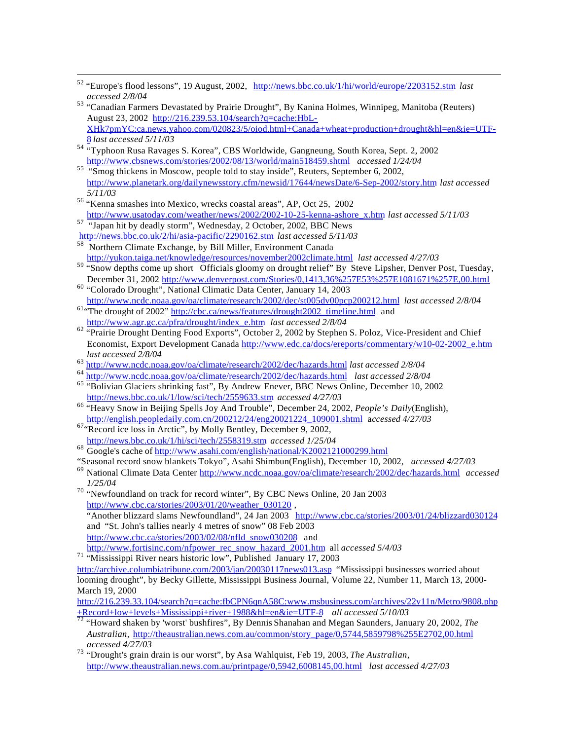- <sup>52</sup> "Europe's flood lessons", 19 August, 2002, http://news.bbc.co.uk/1/hi/world/europe/2203152.stm *last accessed 2/8/04*
- 53 "Canadian Farmers Devastated by Prairie Drought", By Kanina Holmes, Winnipeg, Manitoba (Reuters) August 23, 2002 http://216.239.53.104/search?q=cache:HbL-XHk7pmYC:ca.news.yahoo.com/020823/5/oiod.html+Canada+wheat+production+drought&hl=en&ie=UTF-8 *last accessed 5/11/03*
- <sup>54</sup> "Typhoon Rusa Ravages S. Korea", CBS Worldwide, Gangneung, South Korea, Sept. 2, 2002 http://www.cbsnews.com/stories/2002/08/13/world/main518459.shtml *accessed 1/24/04*
- <sup>55</sup> "Smog thickens in Moscow, people told to stay inside", Reuters, September 6, 2002, http://www.planetark.org/dailynewsstory.cfm/newsid/17644/newsDate/6-Sep-2002/story.htm *last accessed 5/11/03*
- <sup>56</sup> "Kenna smashes into Mexico, wrecks coastal areas", AP, Oct 25, 2002 http://www.usatoday.com/weather/news/2002/2002-10-25-kenna-ashore\_x.htm *last accessed 5/11/03*
- <sup>57</sup> "Japan hit by deadly storm", Wednesday, 2 October, 2002, BBC News

 $\overline{a}$ 

- http://news.bbc.co.uk/2/hi/asia-pacific/2290162.stm *last accessed 5/11/03* Northern Climate Exchange, by Bill Miller, Environment Canada
- http://yukon.taiga.net/knowledge/resources/november2002climate.html *last accessed 4/27/03* <sup>59</sup> "Snow depths come up short Officials gloomy on drought relief" By Steve Lipsher, Denver Post, Tuesday,
- December 31, 2002 http://www.denverpost.com/Stories/0,1413,36%257E53%257E1081671%257E,00.html <sup>60</sup> "Colorado Drought", National Climatic Data Center, January 14, 2003
- http://www.ncdc.noaa.gov/oa/climate/research/2002/dec/st005dv00pcp200212.html *last accessed 2/8/04* <sup>61</sup>"The drought of 2002" http://cbc.ca/news/features/drought2002\_timeline.html and
- http://www.agr.gc.ca/pfra/drought/index\_e.htm *last accessed 2/8/04* <sup>62</sup> "Prairie Drought Denting Food Exports", October 2, 2002 by Stephen S. Poloz, Vice-President and Chief Economist, Export Development Canada http://www.edc.ca/docs/ereports/commentary/w10-02-2002\_e.htm *last accessed 2/8/04*
- <sup>63</sup> http://www.ncdc.noaa.gov/oa/climate/research/2002/dec/hazards.html *last accessed 2/8/04*
- <sup>64</sup> http://www.ncdc.noaa.gov/oa/climate/research/2002/dec/hazards.html *last accessed 2/8/04*
- <sup>65</sup> "Bolivian Glaciers shrinking fast", By Andrew Enever, BBC News Online, December 10, 2002 http://news.bbc.co.uk/1/low/sci/tech/2559633.stm *accessed 4/27/03*
- <sup>66</sup> "Heavy Snow in Beijing Spells Joy And Trouble", December 24, 2002, *People's Daily*(English), http://english.peopledaily.com.cn/200212/24/eng20021224\_109001.shtml a*ccessed 4/27/03*
- $67 \cdot$ Record ice loss in Arctic", by Molly Bentley, December 9, 2002, http://news.bbc.co.uk/1/hi/sci/tech/2558319.stm *accessed 1/25/04*
- <sup>68</sup> Google's cache of http://www.asahi.com/english/national/K2002121000299.html
- "Seasonal record snow blankets Tokyo", Asahi Shimbun(English), December 10, 2002, *accessed 4/27/03*
- <sup>69</sup> National Climate Data Center http://www.ncdc.noaa.gov/oa/climate/research/2002/dec/hazards.html *accessed 1/25/04*
- <sup>70</sup> "Newfoundland on track for record winter", By CBC News Online, 20 Jan 2003 http://www.cbc.ca/stories/2003/01/20/weather\_030120,

"Another blizzard slams Newfoundland", 24 Jan 2003 http://www.cbc.ca/stories/2003/01/24/blizzard030124 and "St. John's tallies nearly 4 metres of snow" 08 Feb 2003

- http://www.cbc.ca/stories/2003/02/08/nfld\_snow030208 and
- http://www.fortisinc.com/nfpower\_rec\_snow\_hazard\_2001.htm all *accessed 5/4/03*

<sup>71</sup> "Mississippi River nears historic low", Published January 17, 2003

http://archive.columbiatribune.com/2003/jan/20030117news013.asp "Mississippi businesses worried about looming drought", by Becky Gillette, Mississippi Business Journal, Volume 22, Number 11, March 13, 2000- March 19, 2000

http://216.239.33.104/search?q=cache:fbCPN6qnA58C:www.msbusiness.com/archives/22v11n/Metro/9808.php +Record+low+levels+Mississippi+river+1988&hl=en&ie=UTF-8 *all accessed 5/10/03*

<sup>72</sup> "Howard shaken by 'worst' bushfires", By Dennis Shanahan and Megan Saunders, January 20, 2002, *The Australian,* http://theaustralian.news.com.au/common/story\_page/0,5744,5859798%255E2702,00.html *accessed 4/27/03*

<sup>73</sup> "Drought's grain drain is our worst", by Asa Wahlquist, Feb 19, 2003, *The Australian,* http://www.theaustralian.news.com.au/printpage/0,5942,6008145,00.html *last accessed 4/27/03*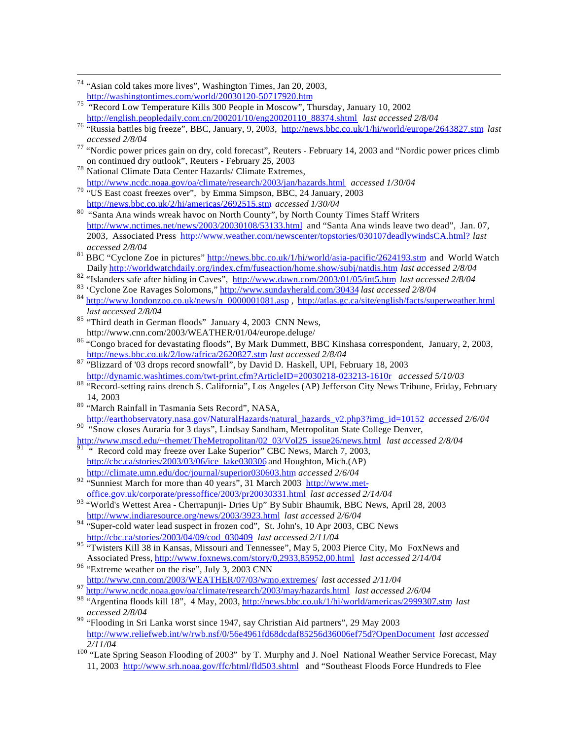- <sup>75</sup> "Record Low Temperature Kills 300 People in Moscow", Thursday, January 10, 2002 http://english.peopledaily.com.cn/200201/10/eng20020110\_88374.shtml *last accessed 2/8/04*
- <sup>76</sup> "Russia battles big freeze", BBC, January, 9, 2003, http://news.bbc.co.uk/1/hi/world/europe/2643827.stm *last accessed 2/8/04*
- <sup>77</sup> "Nordic power prices gain on dry, cold forecast", Reuters February 14, 2003 and "Nordic power prices climb on continued dry outlook", Reuters - February 25, 2003
- <sup>78</sup> National Climate Data Center Hazards/ Climate Extremes, http://www.ncdc.noaa.gov/oa/climate/research/2003/jan/hazards.html *accessed 1/30/04*
- <sup>79</sup> "US East coast freezes over", by Emma Simpson, BBC, 24 January, 2003 http://news.bbc.co.uk/2/hi/americas/2692515.stm *accessed 1/30/04*
- 80 "Santa Ana winds wreak havoc on North County", by North County Times Staff Writers http://www.nctimes.net/news/2003/20030108/53133.html and "Santa Ana winds leave two dead", Jan. 07, 2003, Associated Press http://www.weather.com/newscenter/topstories/030107deadlywindsCA.html? *last accessed 2/8/04*
- <sup>81</sup> BBC "Cyclone Zoe in pictures" http://news.bbc.co.uk/1/hi/world/asia-pacific/2624193.stm and World Watch Daily http://worldwatchdaily.org/index.cfm/fuseaction/home.show/subj/natdis.htm *last accessed 2/8/04*
- <sup>82</sup> "Islanders safe after hiding in Caves", http://www.dawn.com/2003/01/05/int5.htm *last accessed 2/8/04*
- <sup>83</sup> 'Cyclone Zoe Ravages Solomons," http://www.sundayherald.com/30434 *last accessed 2/8/04*
- 84 http://www.londonzoo.co.uk/news/n\_0000001081.asp, http://atlas.gc.ca/site/english/facts/superweather.html *last accessed 2/8/04*
- $85$  "Third death in German floods" January 4, 2003 CNN News, http://www.cnn.com/2003/WEATHER/01/04/europe.deluge/
- <sup>86</sup> "Congo braced for devastating floods", By Mark Dummett, BBC Kinshasa correspondent, January, 2, 2003, http://news.bbc.co.uk/2/low/africa/2620827.stm *last accessed 2/8/04*
- 87 "Blizzard of '03 drops record snowfall", by David D. Haskell, UPI, February 18, 2003 http://dynamic.washtimes.com/twt-print.cfm?ArticleID=20030218-023213-1610r *accessed 5/10/03*
- 88 "Record-setting rains drench S. California", Los Angeles (AP) Jefferson City News Tribune, Friday, February 14, 2003
- <sup>89</sup> "March Rainfall in Tasmania Sets Record", NASA,

http://earthobservatory.nasa.gov/NaturalHazards/natural\_hazards\_v2.php3?img\_id=10152 *accessed 2/6/04* 90 "Snow closes Auraria for 3 days", Lindsay Sandham, Metropolitan State College Denver,

- http://www.mscd.edu/~themet/TheMetropolitan/02\_03/Vol25\_issue26/news.html *last accessed 2/8/04*
- $91$  " Record cold may freeze over Lake Superior" CBC News, March 7, 2003, http://cbc.ca/stories/2003/03/06/ice\_lake030306 and Houghton, Mich.(AP) http://climate.umn.edu/doc/journal/superior030603.htm *accessed 2/6/04*
- 92 "Sunniest March for more than 40 years", 31 March 2003 http://www.metoffice.gov.uk/corporate/pressoffice/2003/pr20030331.html *last accessed 2/14/04*
- 93 "World's Wettest Area Cherrapunji- Dries Up" By Subir Bhaumik, BBC News, April 28, 2003 http://www.indiaresource.org/news/2003/3923.html *last accessed 2/6/04*
- 94 "Super-cold water lead suspect in frozen cod", St. John's, 10 Apr 2003, CBC News http://cbc.ca/stories/2003/04/09/cod\_030409 *last accessed 2/11/04*
- <sup>95</sup> "Twisters Kill 38 in Kansas, Missouri and Tennessee", May 5, 2003 Pierce City, Mo FoxNews and Associated Press, http://www.foxnews.com/story/0,2933,85952,00.html *last accessed 2/14/04*
- <sup>96</sup> "Extreme weather on the rise", July 3, 2003 CNN http://www.cnn.com/2003/WEATHER/07/03/wmo.extremes/ *last accessed 2/11/04*
- <sup>97</sup> http://www.ncdc.noaa.gov/oa/climate/research/2003/may/hazards.html *last accessed 2/6/04*
- <sup>98</sup> "Argentina floods kill 18", 4 May, 2003, http://news.bbc.co.uk/1/hi/world/americas/2999307.stm *last accessed 2/8/04*
- <sup>99</sup> "Flooding in Sri Lanka worst since 1947, say Christian Aid partners", 29 May 2003 http://www.reliefweb.int/w/rwb.nsf/0/56e4961fd68dcdaf85256d36006ef75d?OpenDocument *last accessed 2/11/04*
- <sup>100</sup> "Late Spring Season Flooding of 2003" by T. Murphy and J. Noel National Weather Service Forecast, May 11, 2003 http://www.srh.noaa.gov/ffc/html/fld503.shtml and "Southeast Floods Force Hundreds to Flee

 $\overline{a}$ <sup>74</sup> "Asian cold takes more lives", Washington Times, Jan 20, 2003, http://washingtontimes.com/world/20030120-50717920.htm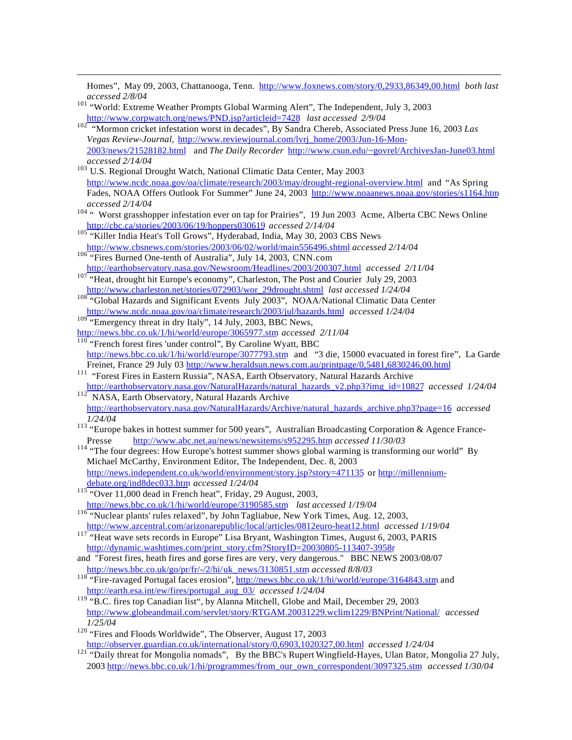$\overline{a}$ Homes", May 09, 2003, Chattanooga, Tenn. http://www.foxnews.com/story/0,2933,86349,00.html *both last accessed 2/8/04* <sup>101</sup> "World: Extreme Weather Prompts Global Warming Alert", The Independent, July 3, 2003 http://www.corpwatch.org/news/PND.jsp?articleid=7428 *last accessed 2/9/04* <sup>102</sup> "Mormon cricket infestation worst in decades", By Sandra Chereb, Associated Press June 16, 2003 *Las Vegas Review-Journal,* http://www.reviewjournal.com/lvrj\_home/2003/Jun-16-Mon-2003/news/21528182.html and *The Daily Recorder* http://www.csun.edu/~govrel/ArchivesJan-June03.html *accessed 2/14/04* <sup>103</sup> U.S. Regional Drought Watch, National Climatic Data Center, May 2003 http://www.ncdc.noaa.gov/oa/climate/research/2003/may/drought-regional-overview.html and "As Spring Fades, NOAA Offers Outlook For Summer" June 24, 2003 http://www.noaanews.noaa.gov/stories/s1164.htm *accessed 2/14/04* <sup>104</sup> " Worst grasshopper infestation ever on tap for Prairies", 19 Jun 2003 Acme, Alberta CBC News Online http://cbc.ca/stories/2003/06/19/hoppers030619 *accessed 2/14/04* <sup>105</sup> "Killer India Heat's Toll Grows", Hyderabad, India, May 30, 2003 CBS News http://www.cbsnews.com/stories/2003/06/02/world/main556496.shtml *accessed 2/14/04* <sup>106</sup> "Fires Burned One-tenth of Australia", July 14, 2003, CNN.com http://earthobservatory.nasa.gov/Newsroom/Headlines/2003/200307.html *accessed 2/11/04* <sup>107</sup> "Heat, drought hit Europe's economy", Charleston, The Post and Courier July 29, 2003 http://www.charleston.net/stories/072903/wor\_29drought.shtml *last accessed 1/24/04* <sup>108</sup> "Global Hazards and Significant Events July 2003", NOAA/National Climatic Data Center http://www.ncdc.noaa.gov/oa/climate/research/2003/jul/hazards.html *accessed 1/24/04* <sup>109</sup> "Emergency threat in dry Italy", 14 July, 2003, BBC News, http://news.bbc.co.uk/1/hi/world/europe/3065977.stm *accessed 2/11/04* <sup>110</sup> "French forest fires 'under control", By Caroline Wyatt, BBC http://news.bbc.co.uk/1/hi/world/europe/3077793.stm and "3 die, 15000 evacuated in forest fire", La Garde Freinet, France 29 July 03 http://www.heraldsun.news.com.au/printpage/0,5481,6830246,00.html <sup>111</sup> "Forest Fires in Eastern Russia", NASA, Earth Observatory, Natural Hazards Archive http://earthobservatory.nasa.gov/NaturalHazards/natural\_hazards\_v2.php3?img\_id=10827 *accessed 1/24/04* <sup>112</sup> NASA, Earth Observatory, Natural Hazards Archive http://earthobservatory.nasa.gov/NaturalHazards/Archive/natural\_hazards\_archive.php3?page=16 *accessed 1/24/04* <sup>113</sup> "Europe bakes in hottest summer for 500 years", Australian Broadcasting Corporation & Agence France-Presse http://www.abc.net.au/news/newsitems/s952295.htm *accessed 11/30/03* <sup>114</sup> "The four degrees: How Europe's hottest summer shows global warming is transforming our world" By Michael McCarthy, Environment Editor, The Independent, Dec. 8, 2003 http://news.independent.co.uk/world/environment/story.jsp?story=471135 or http://millenniumdebate.org/ind8dec033.htm *accessed 1/24/04* <sup>115</sup> "Over 11,000 dead in French heat", Friday, 29 August, 2003, http://news.bbc.co.uk/1/hi/world/europe/3190585.stm *last accessed 1/19/04* <sup>116</sup> "Nuclear plants' rules relaxed", by John Tagliabue, New York Times, Aug. 12, 2003, http://www.azcentral.com/arizonarepublic/local/articles/0812euro-heat12.html *accessed 1/19/04* <sup>117</sup> "Heat wave sets records in Europe" Lisa Bryant, Washington Times, August 6, 2003, PARIS http://dynamic.washtimes.com/print\_story.cfm?StoryID=20030805-113407-3958r and "Forest fires, heath fires and gorse fires are very, very dangerous." BBC NEWS 2003/08/07 http://news.bbc.co.uk/go/pr/fr/-/2/hi/uk\_news/3130851.stm *accessed 8/8/03* <sup>118</sup> "Fire-ravaged Portugal faces erosion", http://news.bbc.co.uk/1/hi/world/europe/3164843.stm and http://earth.esa.int/ew/fires/portugal\_aug\_03/ *accessed 1/24/04* <sup>119</sup> "B.C. fires top Canadian list", by Alanna Mitchell, Globe and Mail, December 29, 2003 http://www.globeandmail.com/servlet/story/RTGAM.20031229.wclim1229/BNPrint/National/ *accessed 1/25/04* <sup>120</sup> "Fires and Floods Worldwide", The Observer, August 17, 2003 http://observer.guardian.co.uk/international/story/0,6903,1020327,00.html *accessed 1/24/04* <sup>121</sup> "Daily threat for Mongolia nomads", By the BBC's Rupert Wingfield-Hayes, Ulan Bator, Mongolia 27 July,

2003 http://news.bbc.co.uk/1/hi/programmes/from\_our\_own\_correspondent/3097325.stm *accessed 1/30/04*